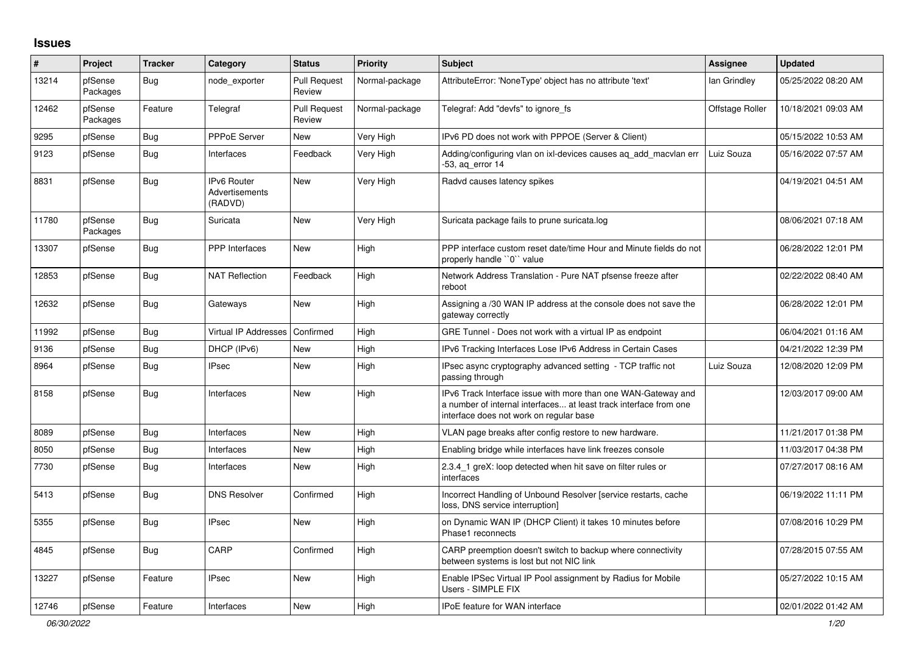## **Issues**

| #     | <b>Project</b>      | <b>Tracker</b> | Category                                 | <b>Status</b>                 | <b>Priority</b> | <b>Subject</b>                                                                                                                                                                | Assignee        | <b>Updated</b>      |
|-------|---------------------|----------------|------------------------------------------|-------------------------------|-----------------|-------------------------------------------------------------------------------------------------------------------------------------------------------------------------------|-----------------|---------------------|
| 13214 | pfSense<br>Packages | <b>Bug</b>     | node exporter                            | <b>Pull Request</b><br>Review | Normal-package  | AttributeError: 'NoneType' object has no attribute 'text'                                                                                                                     | lan Grindley    | 05/25/2022 08:20 AM |
| 12462 | pfSense<br>Packages | Feature        | Telegraf                                 | <b>Pull Request</b><br>Review | Normal-package  | Telegraf: Add "devfs" to ignore fs                                                                                                                                            | Offstage Roller | 10/18/2021 09:03 AM |
| 9295  | pfSense             | <b>Bug</b>     | <b>PPPoE Server</b>                      | <b>New</b>                    | Very High       | IPv6 PD does not work with PPPOE (Server & Client)                                                                                                                            |                 | 05/15/2022 10:53 AM |
| 9123  | pfSense             | <b>Bug</b>     | Interfaces                               | Feedback                      | Very High       | Adding/configuring vlan on ixl-devices causes aq_add_macvlan err<br>-53, ag error 14                                                                                          | Luiz Souza      | 05/16/2022 07:57 AM |
| 8831  | pfSense             | <b>Bug</b>     | IPv6 Router<br>Advertisements<br>(RADVD) | New                           | Very High       | Radvd causes latency spikes                                                                                                                                                   |                 | 04/19/2021 04:51 AM |
| 11780 | pfSense<br>Packages | Bug            | Suricata                                 | <b>New</b>                    | Very High       | Suricata package fails to prune suricata.log                                                                                                                                  |                 | 08/06/2021 07:18 AM |
| 13307 | pfSense             | <b>Bug</b>     | <b>PPP</b> Interfaces                    | <b>New</b>                    | High            | PPP interface custom reset date/time Hour and Minute fields do not<br>properly handle "0" value                                                                               |                 | 06/28/2022 12:01 PM |
| 12853 | pfSense             | Bug            | <b>NAT Reflection</b>                    | Feedback                      | High            | Network Address Translation - Pure NAT pfsense freeze after<br>reboot                                                                                                         |                 | 02/22/2022 08:40 AM |
| 12632 | pfSense             | Bug            | Gateways                                 | <b>New</b>                    | High            | Assigning a /30 WAN IP address at the console does not save the<br>gateway correctly                                                                                          |                 | 06/28/2022 12:01 PM |
| 11992 | pfSense             | Bug            | <b>Virtual IP Addresses</b>              | Confirmed                     | High            | GRE Tunnel - Does not work with a virtual IP as endpoint                                                                                                                      |                 | 06/04/2021 01:16 AM |
| 9136  | pfSense             | <b>Bug</b>     | DHCP (IPv6)                              | New                           | High            | IPv6 Tracking Interfaces Lose IPv6 Address in Certain Cases                                                                                                                   |                 | 04/21/2022 12:39 PM |
| 8964  | pfSense             | Bug            | <b>IPsec</b>                             | New                           | High            | IPsec async cryptography advanced setting - TCP traffic not<br>passing through                                                                                                | Luiz Souza      | 12/08/2020 12:09 PM |
| 8158  | pfSense             | Bug            | Interfaces                               | <b>New</b>                    | High            | IPv6 Track Interface issue with more than one WAN-Gateway and<br>a number of internal interfaces at least track interface from one<br>interface does not work on regular base |                 | 12/03/2017 09:00 AM |
| 8089  | pfSense             | Bug            | Interfaces                               | New                           | High            | VLAN page breaks after config restore to new hardware.                                                                                                                        |                 | 11/21/2017 01:38 PM |
| 8050  | pfSense             | Bug            | Interfaces                               | New                           | High            | Enabling bridge while interfaces have link freezes console                                                                                                                    |                 | 11/03/2017 04:38 PM |
| 7730  | pfSense             | <b>Bug</b>     | Interfaces                               | New                           | High            | 2.3.4_1 greX: loop detected when hit save on filter rules or<br>interfaces                                                                                                    |                 | 07/27/2017 08:16 AM |
| 5413  | pfSense             | Bug            | <b>DNS Resolver</b>                      | Confirmed                     | High            | Incorrect Handling of Unbound Resolver [service restarts, cache<br>loss, DNS service interruption]                                                                            |                 | 06/19/2022 11:11 PM |
| 5355  | pfSense             | Bug            | <b>IPsec</b>                             | New                           | High            | on Dynamic WAN IP (DHCP Client) it takes 10 minutes before<br>Phase1 reconnects                                                                                               |                 | 07/08/2016 10:29 PM |
| 4845  | pfSense             | Bug            | CARP                                     | Confirmed                     | High            | CARP preemption doesn't switch to backup where connectivity<br>between systems is lost but not NIC link                                                                       |                 | 07/28/2015 07:55 AM |
| 13227 | pfSense             | Feature        | <b>IPsec</b>                             | New                           | High            | Enable IPSec Virtual IP Pool assignment by Radius for Mobile<br>Users - SIMPLE FIX                                                                                            |                 | 05/27/2022 10:15 AM |
| 12746 | pfSense             | Feature        | Interfaces                               | New                           | High            | <b>IPoE</b> feature for WAN interface                                                                                                                                         |                 | 02/01/2022 01:42 AM |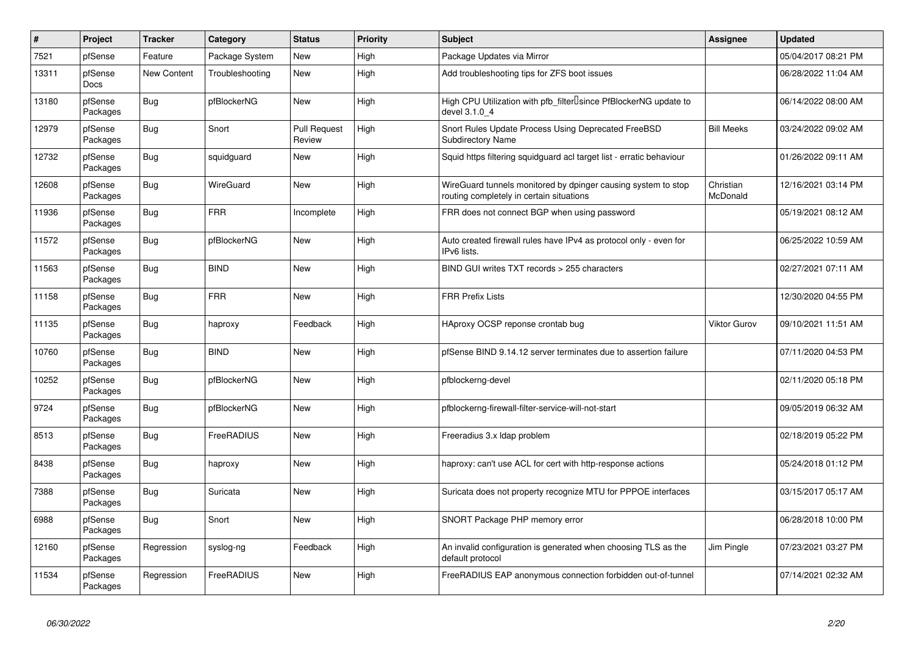| $\vert$ # | Project                | <b>Tracker</b> | Category         | <b>Status</b>                 | <b>Priority</b> | <b>Subject</b>                                                                                            | Assignee              | <b>Updated</b>      |
|-----------|------------------------|----------------|------------------|-------------------------------|-----------------|-----------------------------------------------------------------------------------------------------------|-----------------------|---------------------|
| 7521      | pfSense                | Feature        | Package System   | New                           | High            | Package Updates via Mirror                                                                                |                       | 05/04/2017 08:21 PM |
| 13311     | pfSense<br><b>Docs</b> | New Content    | Troubleshooting  | New                           | High            | Add troubleshooting tips for ZFS boot issues                                                              |                       | 06/28/2022 11:04 AM |
| 13180     | pfSense<br>Packages    | Bug            | pfBlockerNG      | New                           | High            | High CPU Utilization with pfb_filter <sup>[]</sup> since PfBlockerNG update to<br>devel 3.1.0_4           |                       | 06/14/2022 08:00 AM |
| 12979     | pfSense<br>Packages    | <b>Bug</b>     | Snort            | <b>Pull Request</b><br>Review | High            | Snort Rules Update Process Using Deprecated FreeBSD<br><b>Subdirectory Name</b>                           | <b>Bill Meeks</b>     | 03/24/2022 09:02 AM |
| 12732     | pfSense<br>Packages    | <b>Bug</b>     | squidguard       | <b>New</b>                    | High            | Squid https filtering squidguard acl target list - erratic behaviour                                      |                       | 01/26/2022 09:11 AM |
| 12608     | pfSense<br>Packages    | Bug            | <b>WireGuard</b> | <b>New</b>                    | High            | WireGuard tunnels monitored by dpinger causing system to stop<br>routing completely in certain situations | Christian<br>McDonald | 12/16/2021 03:14 PM |
| 11936     | pfSense<br>Packages    | <b>Bug</b>     | <b>FRR</b>       | Incomplete                    | High            | FRR does not connect BGP when using password                                                              |                       | 05/19/2021 08:12 AM |
| 11572     | pfSense<br>Packages    | <b>Bug</b>     | pfBlockerNG      | <b>New</b>                    | High            | Auto created firewall rules have IPv4 as protocol only - even for<br>IPv6 lists.                          |                       | 06/25/2022 10:59 AM |
| 11563     | pfSense<br>Packages    | Bug            | <b>BIND</b>      | <b>New</b>                    | High            | BIND GUI writes TXT records > 255 characters                                                              |                       | 02/27/2021 07:11 AM |
| 11158     | pfSense<br>Packages    | <b>Bug</b>     | <b>FRR</b>       | <b>New</b>                    | High            | <b>FRR Prefix Lists</b>                                                                                   |                       | 12/30/2020 04:55 PM |
| 11135     | pfSense<br>Packages    | Bug            | haproxy          | Feedback                      | High            | HAproxy OCSP reponse crontab bug                                                                          | <b>Viktor Gurov</b>   | 09/10/2021 11:51 AM |
| 10760     | pfSense<br>Packages    | <b>Bug</b>     | <b>BIND</b>      | New                           | High            | pfSense BIND 9.14.12 server terminates due to assertion failure                                           |                       | 07/11/2020 04:53 PM |
| 10252     | pfSense<br>Packages    | Bug            | pfBlockerNG      | New                           | High            | pfblockerng-devel                                                                                         |                       | 02/11/2020 05:18 PM |
| 9724      | pfSense<br>Packages    | Bug            | pfBlockerNG      | <b>New</b>                    | High            | pfblockerng-firewall-filter-service-will-not-start                                                        |                       | 09/05/2019 06:32 AM |
| 8513      | pfSense<br>Packages    | <b>Bug</b>     | FreeRADIUS       | <b>New</b>                    | High            | Freeradius 3.x Idap problem                                                                               |                       | 02/18/2019 05:22 PM |
| 8438      | pfSense<br>Packages    | Bug            | haproxy          | New                           | High            | haproxy: can't use ACL for cert with http-response actions                                                |                       | 05/24/2018 01:12 PM |
| 7388      | pfSense<br>Packages    | <b>Bug</b>     | Suricata         | New                           | High            | Suricata does not property recognize MTU for PPPOE interfaces                                             |                       | 03/15/2017 05:17 AM |
| 6988      | pfSense<br>Packages    | <b>Bug</b>     | Snort            | <b>New</b>                    | High            | SNORT Package PHP memory error                                                                            |                       | 06/28/2018 10:00 PM |
| 12160     | pfSense<br>Packages    | Regression     | syslog-ng        | Feedback                      | High            | An invalid configuration is generated when choosing TLS as the<br>default protocol                        | Jim Pingle            | 07/23/2021 03:27 PM |
| 11534     | pfSense<br>Packages    | Regression     | FreeRADIUS       | <b>New</b>                    | High            | FreeRADIUS EAP anonymous connection forbidden out-of-tunnel                                               |                       | 07/14/2021 02:32 AM |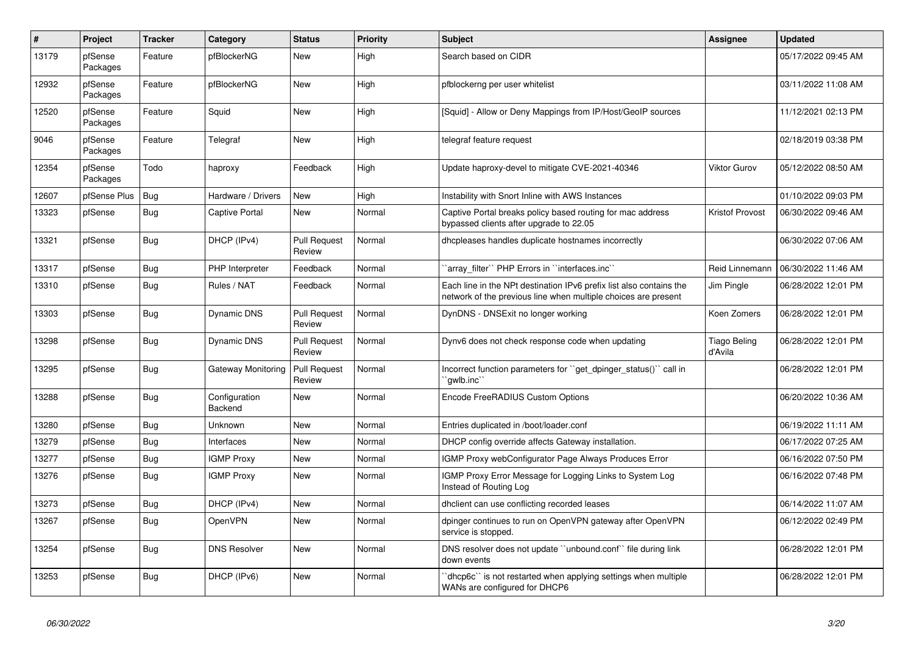| $\vert$ # | <b>Project</b>      | <b>Tracker</b> | Category                  | <b>Status</b>                 | <b>Priority</b> | <b>Subject</b>                                                                                                                        | Assignee                       | <b>Updated</b>      |
|-----------|---------------------|----------------|---------------------------|-------------------------------|-----------------|---------------------------------------------------------------------------------------------------------------------------------------|--------------------------------|---------------------|
| 13179     | pfSense<br>Packages | Feature        | pfBlockerNG               | New                           | High            | Search based on CIDR                                                                                                                  |                                | 05/17/2022 09:45 AM |
| 12932     | pfSense<br>Packages | Feature        | pfBlockerNG               | <b>New</b>                    | High            | pfblockerng per user whitelist                                                                                                        |                                | 03/11/2022 11:08 AM |
| 12520     | pfSense<br>Packages | Feature        | Squid                     | New                           | High            | [Squid] - Allow or Deny Mappings from IP/Host/GeoIP sources                                                                           |                                | 11/12/2021 02:13 PM |
| 9046      | pfSense<br>Packages | Feature        | Telegraf                  | New                           | High            | telegraf feature request                                                                                                              |                                | 02/18/2019 03:38 PM |
| 12354     | pfSense<br>Packages | Todo           | haproxy                   | Feedback                      | High            | Update haproxy-devel to mitigate CVE-2021-40346                                                                                       | <b>Viktor Gurov</b>            | 05/12/2022 08:50 AM |
| 12607     | pfSense Plus        | <b>Bug</b>     | Hardware / Drivers        | New                           | High            | Instability with Snort Inline with AWS Instances                                                                                      |                                | 01/10/2022 09:03 PM |
| 13323     | pfSense             | Bug            | <b>Captive Portal</b>     | <b>New</b>                    | Normal          | Captive Portal breaks policy based routing for mac address<br>bypassed clients after upgrade to 22.05                                 | Kristof Provost                | 06/30/2022 09:46 AM |
| 13321     | pfSense             | <b>Bug</b>     | DHCP (IPv4)               | <b>Pull Request</b><br>Review | Normal          | dhcpleases handles duplicate hostnames incorrectly                                                                                    |                                | 06/30/2022 07:06 AM |
| 13317     | pfSense             | Bug            | PHP Interpreter           | Feedback                      | Normal          | `array filter`` PHP Errors in ``interfaces.inc``                                                                                      | Reid Linnemann                 | 06/30/2022 11:46 AM |
| 13310     | pfSense             | <b>Bug</b>     | Rules / NAT               | Feedback                      | Normal          | Each line in the NPt destination IPv6 prefix list also contains the<br>network of the previous line when multiple choices are present | Jim Pingle                     | 06/28/2022 12:01 PM |
| 13303     | pfSense             | <b>Bug</b>     | <b>Dynamic DNS</b>        | <b>Pull Request</b><br>Review | Normal          | DynDNS - DNSExit no longer working                                                                                                    | Koen Zomers                    | 06/28/2022 12:01 PM |
| 13298     | pfSense             | <b>Bug</b>     | Dynamic DNS               | <b>Pull Request</b><br>Review | Normal          | Dynv6 does not check response code when updating                                                                                      | <b>Tiago Beling</b><br>d'Avila | 06/28/2022 12:01 PM |
| 13295     | pfSense             | <b>Bug</b>     | <b>Gateway Monitoring</b> | <b>Pull Request</b><br>Review | Normal          | Incorrect function parameters for "get dpinger status()" call in<br>`awlb.inc``                                                       |                                | 06/28/2022 12:01 PM |
| 13288     | pfSense             | <b>Bug</b>     | Configuration<br>Backend  | <b>New</b>                    | Normal          | Encode FreeRADIUS Custom Options                                                                                                      |                                | 06/20/2022 10:36 AM |
| 13280     | pfSense             | Bug            | <b>Unknown</b>            | <b>New</b>                    | Normal          | Entries duplicated in /boot/loader.conf                                                                                               |                                | 06/19/2022 11:11 AM |
| 13279     | pfSense             | Bug            | Interfaces                | <b>New</b>                    | Normal          | DHCP config override affects Gateway installation.                                                                                    |                                | 06/17/2022 07:25 AM |
| 13277     | pfSense             | Bug            | <b>IGMP Proxy</b>         | <b>New</b>                    | Normal          | <b>IGMP Proxy webConfigurator Page Always Produces Error</b>                                                                          |                                | 06/16/2022 07:50 PM |
| 13276     | pfSense             | <b>Bug</b>     | <b>IGMP Proxy</b>         | New                           | Normal          | IGMP Proxy Error Message for Logging Links to System Log<br>Instead of Routing Log                                                    |                                | 06/16/2022 07:48 PM |
| 13273     | pfSense             | Bug            | DHCP (IPv4)               | New                           | Normal          | dhclient can use conflicting recorded leases                                                                                          |                                | 06/14/2022 11:07 AM |
| 13267     | pfSense             | <b>Bug</b>     | OpenVPN                   | New                           | Normal          | dpinger continues to run on OpenVPN gateway after OpenVPN<br>service is stopped.                                                      |                                | 06/12/2022 02:49 PM |
| 13254     | pfSense             | Bug            | <b>DNS Resolver</b>       | New                           | Normal          | DNS resolver does not update "unbound.conf" file during link<br>down events                                                           |                                | 06/28/2022 12:01 PM |
| 13253     | pfSense             | <b>Bug</b>     | DHCP (IPv6)               | <b>New</b>                    | Normal          | dhcp6c" is not restarted when applying settings when multiple<br>WANs are configured for DHCP6                                        |                                | 06/28/2022 12:01 PM |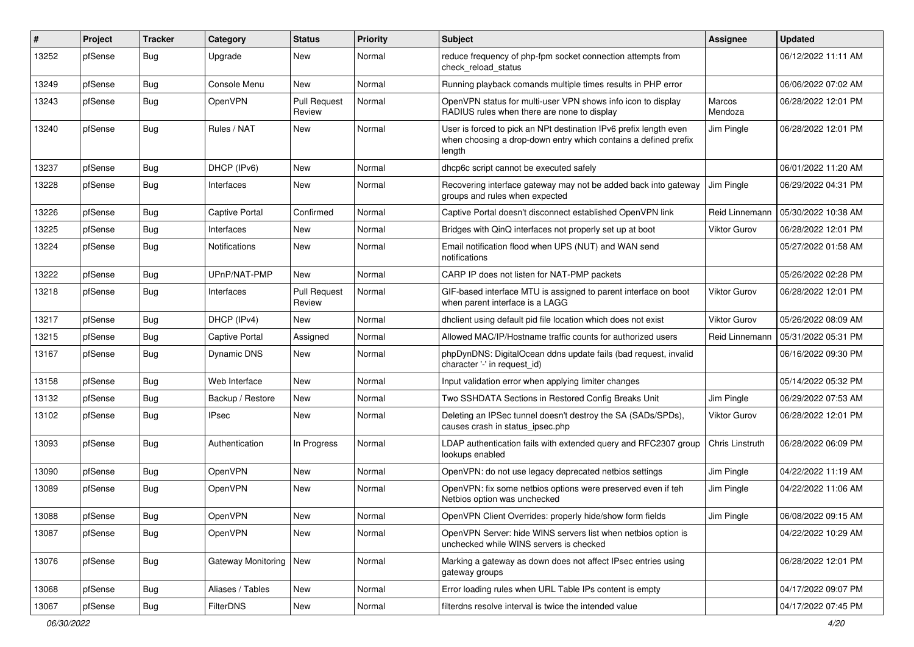| $\#$  | Project | <b>Tracker</b> | Category                 | <b>Status</b>                 | <b>Priority</b> | Subject                                                                                                                                        | Assignee            | <b>Updated</b>      |
|-------|---------|----------------|--------------------------|-------------------------------|-----------------|------------------------------------------------------------------------------------------------------------------------------------------------|---------------------|---------------------|
| 13252 | pfSense | Bug            | Upgrade                  | New                           | Normal          | reduce frequency of php-fpm socket connection attempts from<br>check reload status                                                             |                     | 06/12/2022 11:11 AM |
| 13249 | pfSense | Bug            | Console Menu             | New                           | Normal          | Running playback comands multiple times results in PHP error                                                                                   |                     | 06/06/2022 07:02 AM |
| 13243 | pfSense | Bug            | OpenVPN                  | <b>Pull Request</b><br>Review | Normal          | OpenVPN status for multi-user VPN shows info icon to display<br>RADIUS rules when there are none to display                                    | Marcos<br>Mendoza   | 06/28/2022 12:01 PM |
| 13240 | pfSense | <b>Bug</b>     | Rules / NAT              | New                           | Normal          | User is forced to pick an NPt destination IPv6 prefix length even<br>when choosing a drop-down entry which contains a defined prefix<br>length | Jim Pingle          | 06/28/2022 12:01 PM |
| 13237 | pfSense | <b>Bug</b>     | DHCP (IPv6)              | <b>New</b>                    | Normal          | dhcp6c script cannot be executed safely                                                                                                        |                     | 06/01/2022 11:20 AM |
| 13228 | pfSense | Bug            | Interfaces               | New                           | Normal          | Recovering interface gateway may not be added back into gateway<br>groups and rules when expected                                              | Jim Pingle          | 06/29/2022 04:31 PM |
| 13226 | pfSense | <b>Bug</b>     | <b>Captive Portal</b>    | Confirmed                     | Normal          | Captive Portal doesn't disconnect established OpenVPN link                                                                                     | Reid Linnemann      | 05/30/2022 10:38 AM |
| 13225 | pfSense | <b>Bug</b>     | Interfaces               | New                           | Normal          | Bridges with QinQ interfaces not properly set up at boot                                                                                       | <b>Viktor Gurov</b> | 06/28/2022 12:01 PM |
| 13224 | pfSense | Bug            | Notifications            | New                           | Normal          | Email notification flood when UPS (NUT) and WAN send<br>notifications                                                                          |                     | 05/27/2022 01:58 AM |
| 13222 | pfSense | <b>Bug</b>     | UPnP/NAT-PMP             | New                           | Normal          | CARP IP does not listen for NAT-PMP packets                                                                                                    |                     | 05/26/2022 02:28 PM |
| 13218 | pfSense | Bug            | Interfaces               | <b>Pull Request</b><br>Review | Normal          | GIF-based interface MTU is assigned to parent interface on boot<br>when parent interface is a LAGG                                             | Viktor Gurov        | 06/28/2022 12:01 PM |
| 13217 | pfSense | <b>Bug</b>     | DHCP (IPv4)              | <b>New</b>                    | Normal          | dhclient using default pid file location which does not exist                                                                                  | Viktor Gurov        | 05/26/2022 08:09 AM |
| 13215 | pfSense | Bug            | <b>Captive Portal</b>    | Assigned                      | Normal          | Allowed MAC/IP/Hostname traffic counts for authorized users                                                                                    | Reid Linnemann      | 05/31/2022 05:31 PM |
| 13167 | pfSense | <b>Bug</b>     | Dynamic DNS              | New                           | Normal          | phpDynDNS: DigitalOcean ddns update fails (bad request, invalid<br>character '-' in request_id)                                                |                     | 06/16/2022 09:30 PM |
| 13158 | pfSense | <b>Bug</b>     | Web Interface            | <b>New</b>                    | Normal          | Input validation error when applying limiter changes                                                                                           |                     | 05/14/2022 05:32 PM |
| 13132 | pfSense | <b>Bug</b>     | Backup / Restore         | New                           | Normal          | Two SSHDATA Sections in Restored Config Breaks Unit                                                                                            | Jim Pingle          | 06/29/2022 07:53 AM |
| 13102 | pfSense | Bug            | <b>IPsec</b>             | New                           | Normal          | Deleting an IPSec tunnel doesn't destroy the SA (SADs/SPDs),<br>causes crash in status_ipsec.php                                               | <b>Viktor Gurov</b> | 06/28/2022 12:01 PM |
| 13093 | pfSense | <b>Bug</b>     | Authentication           | In Progress                   | Normal          | LDAP authentication fails with extended query and RFC2307 group<br>lookups enabled                                                             | Chris Linstruth     | 06/28/2022 06:09 PM |
| 13090 | pfSense | <b>Bug</b>     | OpenVPN                  | New                           | Normal          | OpenVPN: do not use legacy deprecated netbios settings                                                                                         | Jim Pingle          | 04/22/2022 11:19 AM |
| 13089 | pfSense | Bug            | OpenVPN                  | New                           | Normal          | OpenVPN: fix some netbios options were preserved even if teh<br>Netbios option was unchecked                                                   | Jim Pingle          | 04/22/2022 11:06 AM |
| 13088 | pfSense | <b>Bug</b>     | OpenVPN                  | New                           | Normal          | OpenVPN Client Overrides: properly hide/show form fields                                                                                       | Jim Pingle          | 06/08/2022 09:15 AM |
| 13087 | pfSense | Bug            | OpenVPN                  | New                           | Normal          | OpenVPN Server: hide WINS servers list when netbios option is<br>unchecked while WINS servers is checked                                       |                     | 04/22/2022 10:29 AM |
| 13076 | pfSense | <b>Bug</b>     | Gateway Monitoring   New |                               | Normal          | Marking a gateway as down does not affect IPsec entries using<br>gateway groups                                                                |                     | 06/28/2022 12:01 PM |
| 13068 | pfSense | <b>Bug</b>     | Aliases / Tables         | New                           | Normal          | Error loading rules when URL Table IPs content is empty                                                                                        |                     | 04/17/2022 09:07 PM |
| 13067 | pfSense | <b>Bug</b>     | <b>FilterDNS</b>         | New                           | Normal          | filterdns resolve interval is twice the intended value                                                                                         |                     | 04/17/2022 07:45 PM |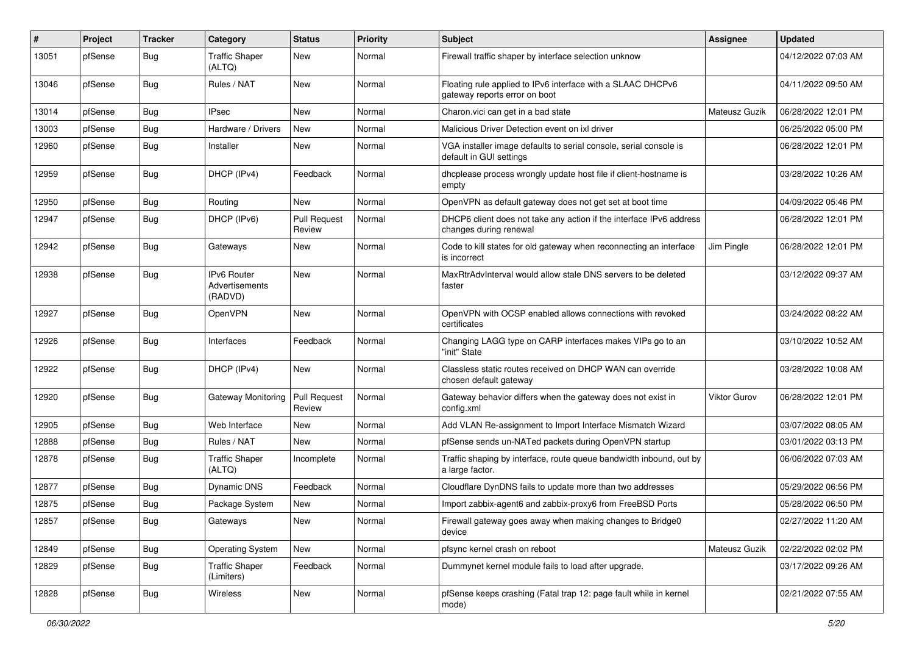| #     | Project | <b>Tracker</b> | Category                                 | <b>Status</b>                 | Priority | Subject                                                                                       | Assignee      | <b>Updated</b>      |
|-------|---------|----------------|------------------------------------------|-------------------------------|----------|-----------------------------------------------------------------------------------------------|---------------|---------------------|
| 13051 | pfSense | <b>Bug</b>     | <b>Traffic Shaper</b><br>(ALTQ)          | <b>New</b>                    | Normal   | Firewall traffic shaper by interface selection unknow                                         |               | 04/12/2022 07:03 AM |
| 13046 | pfSense | <b>Bug</b>     | Rules / NAT                              | <b>New</b>                    | Normal   | Floating rule applied to IPv6 interface with a SLAAC DHCPv6<br>gateway reports error on boot  |               | 04/11/2022 09:50 AM |
| 13014 | pfSense | Bug            | <b>IPsec</b>                             | <b>New</b>                    | Normal   | Charon.vici can get in a bad state                                                            | Mateusz Guzik | 06/28/2022 12:01 PM |
| 13003 | pfSense | Bug            | Hardware / Drivers                       | <b>New</b>                    | Normal   | Malicious Driver Detection event on ixl driver                                                |               | 06/25/2022 05:00 PM |
| 12960 | pfSense | <b>Bug</b>     | Installer                                | <b>New</b>                    | Normal   | VGA installer image defaults to serial console, serial console is<br>default in GUI settings  |               | 06/28/2022 12:01 PM |
| 12959 | pfSense | <b>Bug</b>     | DHCP (IPv4)                              | Feedback                      | Normal   | dhcplease process wrongly update host file if client-hostname is<br>empty                     |               | 03/28/2022 10:26 AM |
| 12950 | pfSense | Bug            | Routing                                  | New                           | Normal   | OpenVPN as default gateway does not get set at boot time                                      |               | 04/09/2022 05:46 PM |
| 12947 | pfSense | Bug            | DHCP (IPv6)                              | <b>Pull Request</b><br>Review | Normal   | DHCP6 client does not take any action if the interface IPv6 address<br>changes during renewal |               | 06/28/2022 12:01 PM |
| 12942 | pfSense | <b>Bug</b>     | Gateways                                 | <b>New</b>                    | Normal   | Code to kill states for old gateway when reconnecting an interface<br>is incorrect            | Jim Pingle    | 06/28/2022 12:01 PM |
| 12938 | pfSense | Bug            | IPv6 Router<br>Advertisements<br>(RADVD) | New                           | Normal   | MaxRtrAdvInterval would allow stale DNS servers to be deleted<br>faster                       |               | 03/12/2022 09:37 AM |
| 12927 | pfSense | <b>Bug</b>     | OpenVPN                                  | New                           | Normal   | OpenVPN with OCSP enabled allows connections with revoked<br>certificates                     |               | 03/24/2022 08:22 AM |
| 12926 | pfSense | <b>Bug</b>     | Interfaces                               | Feedback                      | Normal   | Changing LAGG type on CARP interfaces makes VIPs go to an<br>"init" State                     |               | 03/10/2022 10:52 AM |
| 12922 | pfSense | <b>Bug</b>     | DHCP (IPv4)                              | <b>New</b>                    | Normal   | Classless static routes received on DHCP WAN can override<br>chosen default gateway           |               | 03/28/2022 10:08 AM |
| 12920 | pfSense | Bug            | Gateway Monitoring                       | Pull Request<br>Review        | Normal   | Gateway behavior differs when the gateway does not exist in<br>config.xml                     | Viktor Gurov  | 06/28/2022 12:01 PM |
| 12905 | pfSense | Bug            | Web Interface                            | <b>New</b>                    | Normal   | Add VLAN Re-assignment to Import Interface Mismatch Wizard                                    |               | 03/07/2022 08:05 AM |
| 12888 | pfSense | Bug            | Rules / NAT                              | <b>New</b>                    | Normal   | pfSense sends un-NATed packets during OpenVPN startup                                         |               | 03/01/2022 03:13 PM |
| 12878 | pfSense | Bug            | <b>Traffic Shaper</b><br>(ALTQ)          | Incomplete                    | Normal   | Traffic shaping by interface, route queue bandwidth inbound, out by<br>a large factor.        |               | 06/06/2022 07:03 AM |
| 12877 | pfSense | <b>Bug</b>     | Dynamic DNS                              | Feedback                      | Normal   | Cloudflare DynDNS fails to update more than two addresses                                     |               | 05/29/2022 06:56 PM |
| 12875 | pfSense | <b>Bug</b>     | Package System                           | <b>New</b>                    | Normal   | Import zabbix-agent6 and zabbix-proxy6 from FreeBSD Ports                                     |               | 05/28/2022 06:50 PM |
| 12857 | pfSense | <b>Bug</b>     | Gateways                                 | New                           | Normal   | Firewall gateway goes away when making changes to Bridge0<br>device                           |               | 02/27/2022 11:20 AM |
| 12849 | pfSense | <b>Bug</b>     | <b>Operating System</b>                  | New                           | Normal   | pfsync kernel crash on reboot                                                                 | Mateusz Guzik | 02/22/2022 02:02 PM |
| 12829 | pfSense | <b>Bug</b>     | <b>Traffic Shaper</b><br>(Limiters)      | Feedback                      | Normal   | Dummynet kernel module fails to load after upgrade.                                           |               | 03/17/2022 09:26 AM |
| 12828 | pfSense | <b>Bug</b>     | Wireless                                 | New                           | Normal   | pfSense keeps crashing (Fatal trap 12: page fault while in kernel<br>mode)                    |               | 02/21/2022 07:55 AM |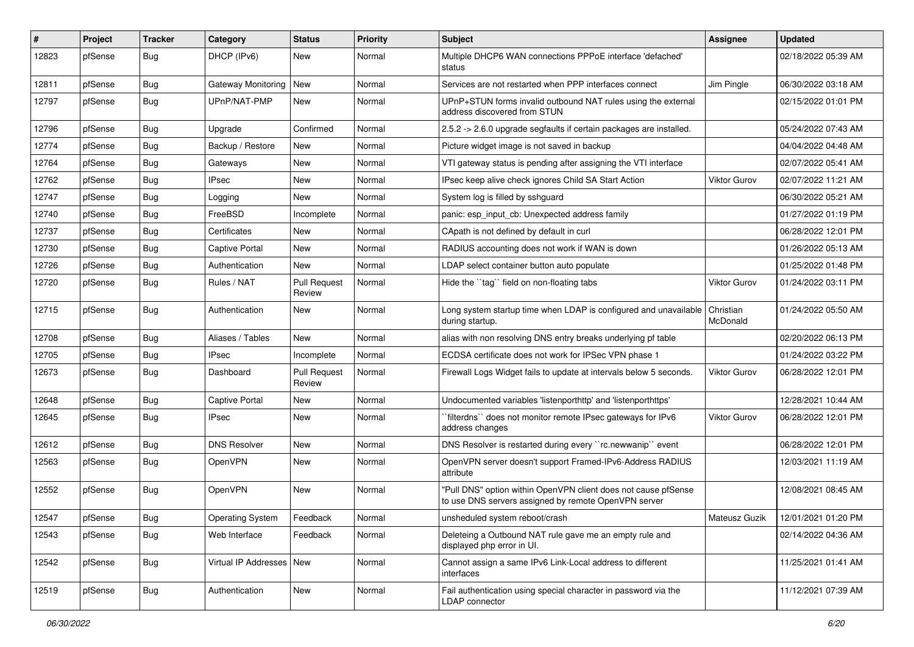| #     | Project | <b>Tracker</b> | Category                   | <b>Status</b>                 | <b>Priority</b> | Subject                                                                                                                | Assignee              | <b>Updated</b>      |
|-------|---------|----------------|----------------------------|-------------------------------|-----------------|------------------------------------------------------------------------------------------------------------------------|-----------------------|---------------------|
| 12823 | pfSense | <b>Bug</b>     | DHCP (IPv6)                | New                           | Normal          | Multiple DHCP6 WAN connections PPPoE interface 'defached'<br>status                                                    |                       | 02/18/2022 05:39 AM |
| 12811 | pfSense | Bug            | Gateway Monitoring         | <b>New</b>                    | Normal          | Services are not restarted when PPP interfaces connect                                                                 | Jim Pingle            | 06/30/2022 03:18 AM |
| 12797 | pfSense | Bug            | UPnP/NAT-PMP               | New                           | Normal          | UPnP+STUN forms invalid outbound NAT rules using the external<br>address discovered from STUN                          |                       | 02/15/2022 01:01 PM |
| 12796 | pfSense | Bug            | Upgrade                    | Confirmed                     | Normal          | 2.5.2 -> 2.6.0 upgrade segfaults if certain packages are installed.                                                    |                       | 05/24/2022 07:43 AM |
| 12774 | pfSense | Bug            | Backup / Restore           | <b>New</b>                    | Normal          | Picture widget image is not saved in backup                                                                            |                       | 04/04/2022 04:48 AM |
| 12764 | pfSense | Bug            | Gateways                   | New                           | Normal          | VTI gateway status is pending after assigning the VTI interface                                                        |                       | 02/07/2022 05:41 AM |
| 12762 | pfSense | Bug            | <b>IPsec</b>               | New                           | Normal          | IPsec keep alive check ignores Child SA Start Action                                                                   | <b>Viktor Gurov</b>   | 02/07/2022 11:21 AM |
| 12747 | pfSense | Bug            | Logging                    | <b>New</b>                    | Normal          | System log is filled by sshguard                                                                                       |                       | 06/30/2022 05:21 AM |
| 12740 | pfSense | Bug            | FreeBSD                    | Incomplete                    | Normal          | panic: esp input cb: Unexpected address family                                                                         |                       | 01/27/2022 01:19 PM |
| 12737 | pfSense | Bug            | Certificates               | New                           | Normal          | CApath is not defined by default in curl                                                                               |                       | 06/28/2022 12:01 PM |
| 12730 | pfSense | <b>Bug</b>     | <b>Captive Portal</b>      | New                           | Normal          | RADIUS accounting does not work if WAN is down                                                                         |                       | 01/26/2022 05:13 AM |
| 12726 | pfSense | Bug            | Authentication             | New                           | Normal          | LDAP select container button auto populate                                                                             |                       | 01/25/2022 01:48 PM |
| 12720 | pfSense | <b>Bug</b>     | Rules / NAT                | <b>Pull Request</b><br>Review | Normal          | Hide the "tag" field on non-floating tabs                                                                              | <b>Viktor Gurov</b>   | 01/24/2022 03:11 PM |
| 12715 | pfSense | <b>Bug</b>     | Authentication             | New                           | Normal          | Long system startup time when LDAP is configured and unavailable<br>during startup.                                    | Christian<br>McDonald | 01/24/2022 05:50 AM |
| 12708 | pfSense | Bug            | Aliases / Tables           | New                           | Normal          | alias with non resolving DNS entry breaks underlying pf table                                                          |                       | 02/20/2022 06:13 PM |
| 12705 | pfSense | Bug            | <b>IPsec</b>               | Incomplete                    | Normal          | ECDSA certificate does not work for IPSec VPN phase 1                                                                  |                       | 01/24/2022 03:22 PM |
| 12673 | pfSense | Bug            | Dashboard                  | <b>Pull Request</b><br>Review | Normal          | Firewall Logs Widget fails to update at intervals below 5 seconds.                                                     | Viktor Gurov          | 06/28/2022 12:01 PM |
| 12648 | pfSense | Bug            | <b>Captive Portal</b>      | New                           | Normal          | Undocumented variables 'listenporthttp' and 'listenporthttps'                                                          |                       | 12/28/2021 10:44 AM |
| 12645 | pfSense | <b>Bug</b>     | <b>IPsec</b>               | <b>New</b>                    | Normal          | `filterdns`` does not monitor remote IPsec gateways for IPv6<br>address changes                                        | Viktor Gurov          | 06/28/2022 12:01 PM |
| 12612 | pfSense | Bug            | <b>DNS Resolver</b>        | <b>New</b>                    | Normal          | DNS Resolver is restarted during every "rc.newwanip" event                                                             |                       | 06/28/2022 12:01 PM |
| 12563 | pfSense | Bug            | <b>OpenVPN</b>             | New                           | Normal          | OpenVPN server doesn't support Framed-IPv6-Address RADIUS<br>attribute                                                 |                       | 12/03/2021 11:19 AM |
| 12552 | pfSense | <b>Bug</b>     | OpenVPN                    | New                           | Normal          | "Pull DNS" option within OpenVPN client does not cause pfSense<br>to use DNS servers assigned by remote OpenVPN server |                       | 12/08/2021 08:45 AM |
| 12547 | pfSense | <b>Bug</b>     | <b>Operating System</b>    | Feedback                      | Normal          | unsheduled system reboot/crash                                                                                         | Mateusz Guzik         | 12/01/2021 01:20 PM |
| 12543 | pfSense | <b>Bug</b>     | Web Interface              | Feedback                      | Normal          | Deleteing a Outbound NAT rule gave me an empty rule and<br>displayed php error in UI.                                  |                       | 02/14/2022 04:36 AM |
| 12542 | pfSense | Bug            | Virtual IP Addresses   New |                               | Normal          | Cannot assign a same IPv6 Link-Local address to different<br>interfaces                                                |                       | 11/25/2021 01:41 AM |
| 12519 | pfSense | Bug            | Authentication             | New                           | Normal          | Fail authentication using special character in password via the<br>LDAP connector                                      |                       | 11/12/2021 07:39 AM |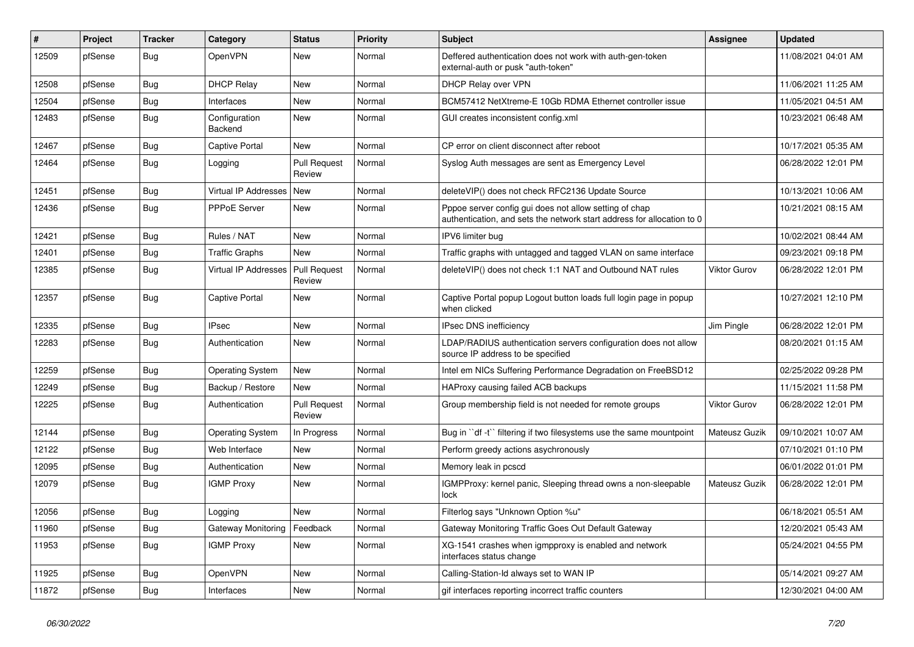| #     | Project | <b>Tracker</b> | Category                    | <b>Status</b>                 | Priority | Subject                                                                                                                          | Assignee            | <b>Updated</b>      |
|-------|---------|----------------|-----------------------------|-------------------------------|----------|----------------------------------------------------------------------------------------------------------------------------------|---------------------|---------------------|
| 12509 | pfSense | <b>Bug</b>     | OpenVPN                     | <b>New</b>                    | Normal   | Deffered authentication does not work with auth-gen-token<br>external-auth or pusk "auth-token"                                  |                     | 11/08/2021 04:01 AM |
| 12508 | pfSense | Bug            | <b>DHCP Relay</b>           | New                           | Normal   | DHCP Relay over VPN                                                                                                              |                     | 11/06/2021 11:25 AM |
| 12504 | pfSense | Bug            | Interfaces                  | <b>New</b>                    | Normal   | BCM57412 NetXtreme-E 10Gb RDMA Ethernet controller issue                                                                         |                     | 11/05/2021 04:51 AM |
| 12483 | pfSense | <b>Bug</b>     | Configuration<br>Backend    | New                           | Normal   | GUI creates inconsistent config.xml                                                                                              |                     | 10/23/2021 06:48 AM |
| 12467 | pfSense | <b>Bug</b>     | <b>Captive Portal</b>       | New                           | Normal   | CP error on client disconnect after reboot                                                                                       |                     | 10/17/2021 05:35 AM |
| 12464 | pfSense | <b>Bug</b>     | Logging                     | <b>Pull Request</b><br>Review | Normal   | Syslog Auth messages are sent as Emergency Level                                                                                 |                     | 06/28/2022 12:01 PM |
| 12451 | pfSense | <b>Bug</b>     | Virtual IP Addresses        | <b>New</b>                    | Normal   | deleteVIP() does not check RFC2136 Update Source                                                                                 |                     | 10/13/2021 10:06 AM |
| 12436 | pfSense | <b>Bug</b>     | PPPoE Server                | New                           | Normal   | Pppoe server config gui does not allow setting of chap<br>authentication, and sets the network start address for allocation to 0 |                     | 10/21/2021 08:15 AM |
| 12421 | pfSense | Bug            | Rules / NAT                 | <b>New</b>                    | Normal   | IPV6 limiter bug                                                                                                                 |                     | 10/02/2021 08:44 AM |
| 12401 | pfSense | Bug            | <b>Traffic Graphs</b>       | <b>New</b>                    | Normal   | Traffic graphs with untagged and tagged VLAN on same interface                                                                   |                     | 09/23/2021 09:18 PM |
| 12385 | pfSense | Bug            | <b>Virtual IP Addresses</b> | Pull Request<br>Review        | Normal   | deleteVIP() does not check 1:1 NAT and Outbound NAT rules                                                                        | <b>Viktor Gurov</b> | 06/28/2022 12:01 PM |
| 12357 | pfSense | <b>Bug</b>     | <b>Captive Portal</b>       | New                           | Normal   | Captive Portal popup Logout button loads full login page in popup<br>when clicked                                                |                     | 10/27/2021 12:10 PM |
| 12335 | pfSense | Bug            | <b>IPsec</b>                | <b>New</b>                    | Normal   | IPsec DNS inefficiency                                                                                                           | Jim Pingle          | 06/28/2022 12:01 PM |
| 12283 | pfSense | <b>Bug</b>     | Authentication              | <b>New</b>                    | Normal   | LDAP/RADIUS authentication servers configuration does not allow<br>source IP address to be specified                             |                     | 08/20/2021 01:15 AM |
| 12259 | pfSense | Bug            | <b>Operating System</b>     | <b>New</b>                    | Normal   | Intel em NICs Suffering Performance Degradation on FreeBSD12                                                                     |                     | 02/25/2022 09:28 PM |
| 12249 | pfSense | Bug            | Backup / Restore            | <b>New</b>                    | Normal   | HAProxy causing failed ACB backups                                                                                               |                     | 11/15/2021 11:58 PM |
| 12225 | pfSense | <b>Bug</b>     | Authentication              | <b>Pull Request</b><br>Review | Normal   | Group membership field is not needed for remote groups                                                                           | <b>Viktor Gurov</b> | 06/28/2022 12:01 PM |
| 12144 | pfSense | Bug            | <b>Operating System</b>     | In Progress                   | Normal   | Bug in "df -t" filtering if two filesystems use the same mountpoint                                                              | Mateusz Guzik       | 09/10/2021 10:07 AM |
| 12122 | pfSense | <b>Bug</b>     | Web Interface               | <b>New</b>                    | Normal   | Perform greedy actions asychronously                                                                                             |                     | 07/10/2021 01:10 PM |
| 12095 | pfSense | <b>Bug</b>     | Authentication              | <b>New</b>                    | Normal   | Memory leak in pcscd                                                                                                             |                     | 06/01/2022 01:01 PM |
| 12079 | pfSense | Bug            | <b>IGMP Proxy</b>           | <b>New</b>                    | Normal   | IGMPProxy: kernel panic, Sleeping thread owns a non-sleepable<br>lock                                                            | Mateusz Guzik       | 06/28/2022 12:01 PM |
| 12056 | pfSense | <b>Bug</b>     | Logging                     | <b>New</b>                    | Normal   | Filterlog says "Unknown Option %u"                                                                                               |                     | 06/18/2021 05:51 AM |
| 11960 | pfSense | Bug            | Gateway Monitoring          | Feedback                      | Normal   | Gateway Monitoring Traffic Goes Out Default Gateway                                                                              |                     | 12/20/2021 05:43 AM |
| 11953 | pfSense | <b>Bug</b>     | <b>IGMP Proxy</b>           | New                           | Normal   | XG-1541 crashes when igmpproxy is enabled and network<br>interfaces status change                                                |                     | 05/24/2021 04:55 PM |
| 11925 | pfSense | <b>Bug</b>     | OpenVPN                     | New                           | Normal   | Calling-Station-Id always set to WAN IP                                                                                          |                     | 05/14/2021 09:27 AM |
| 11872 | pfSense | Bug            | Interfaces                  | New                           | Normal   | gif interfaces reporting incorrect traffic counters                                                                              |                     | 12/30/2021 04:00 AM |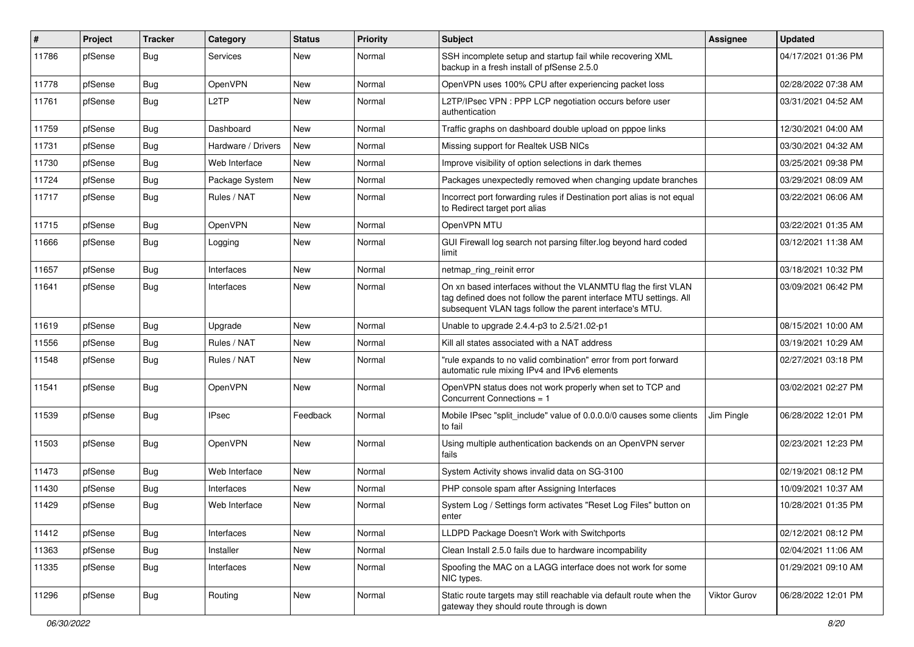| #     | Project | <b>Tracker</b> | Category           | <b>Status</b> | <b>Priority</b> | <b>Subject</b>                                                                                                                                                                                  | Assignee     | <b>Updated</b>      |
|-------|---------|----------------|--------------------|---------------|-----------------|-------------------------------------------------------------------------------------------------------------------------------------------------------------------------------------------------|--------------|---------------------|
| 11786 | pfSense | Bug            | <b>Services</b>    | New           | Normal          | SSH incomplete setup and startup fail while recovering XML<br>backup in a fresh install of pfSense 2.5.0                                                                                        |              | 04/17/2021 01:36 PM |
| 11778 | pfSense | Bug            | OpenVPN            | <b>New</b>    | Normal          | OpenVPN uses 100% CPU after experiencing packet loss                                                                                                                                            |              | 02/28/2022 07:38 AM |
| 11761 | pfSense | Bug            | L2TP               | New           | Normal          | L2TP/IPsec VPN : PPP LCP negotiation occurs before user<br>authentication                                                                                                                       |              | 03/31/2021 04:52 AM |
| 11759 | pfSense | Bug            | Dashboard          | New           | Normal          | Traffic graphs on dashboard double upload on pppoe links                                                                                                                                        |              | 12/30/2021 04:00 AM |
| 11731 | pfSense | Bug            | Hardware / Drivers | New           | Normal          | Missing support for Realtek USB NICs                                                                                                                                                            |              | 03/30/2021 04:32 AM |
| 11730 | pfSense | Bug            | Web Interface      | New           | Normal          | Improve visibility of option selections in dark themes                                                                                                                                          |              | 03/25/2021 09:38 PM |
| 11724 | pfSense | Bug            | Package System     | New           | Normal          | Packages unexpectedly removed when changing update branches                                                                                                                                     |              | 03/29/2021 08:09 AM |
| 11717 | pfSense | <b>Bug</b>     | Rules / NAT        | New           | Normal          | Incorrect port forwarding rules if Destination port alias is not equal<br>to Redirect target port alias                                                                                         |              | 03/22/2021 06:06 AM |
| 11715 | pfSense | Bug            | OpenVPN            | <b>New</b>    | Normal          | OpenVPN MTU                                                                                                                                                                                     |              | 03/22/2021 01:35 AM |
| 11666 | pfSense | Bug            | Logging            | New           | Normal          | GUI Firewall log search not parsing filter.log beyond hard coded<br>limit                                                                                                                       |              | 03/12/2021 11:38 AM |
| 11657 | pfSense | Bug            | Interfaces         | <b>New</b>    | Normal          | netmap_ring_reinit error                                                                                                                                                                        |              | 03/18/2021 10:32 PM |
| 11641 | pfSense | Bug            | Interfaces         | <b>New</b>    | Normal          | On xn based interfaces without the VLANMTU flag the first VLAN<br>tag defined does not follow the parent interface MTU settings. All<br>subsequent VLAN tags follow the parent interface's MTU. |              | 03/09/2021 06:42 PM |
| 11619 | pfSense | Bug            | Upgrade            | <b>New</b>    | Normal          | Unable to upgrade 2.4.4-p3 to 2.5/21.02-p1                                                                                                                                                      |              | 08/15/2021 10:00 AM |
| 11556 | pfSense | Bug            | Rules / NAT        | <b>New</b>    | Normal          | Kill all states associated with a NAT address                                                                                                                                                   |              | 03/19/2021 10:29 AM |
| 11548 | pfSense | Bug            | Rules / NAT        | New           | Normal          | "rule expands to no valid combination" error from port forward<br>automatic rule mixing IPv4 and IPv6 elements                                                                                  |              | 02/27/2021 03:18 PM |
| 11541 | pfSense | Bug            | OpenVPN            | <b>New</b>    | Normal          | OpenVPN status does not work properly when set to TCP and<br>Concurrent Connections = 1                                                                                                         |              | 03/02/2021 02:27 PM |
| 11539 | pfSense | Bug            | <b>IPsec</b>       | Feedback      | Normal          | Mobile IPsec "split_include" value of 0.0.0.0/0 causes some clients<br>to fail                                                                                                                  | Jim Pingle   | 06/28/2022 12:01 PM |
| 11503 | pfSense | Bug            | OpenVPN            | <b>New</b>    | Normal          | Using multiple authentication backends on an OpenVPN server<br>fails                                                                                                                            |              | 02/23/2021 12:23 PM |
| 11473 | pfSense | Bug            | Web Interface      | <b>New</b>    | Normal          | System Activity shows invalid data on SG-3100                                                                                                                                                   |              | 02/19/2021 08:12 PM |
| 11430 | pfSense | Bug            | Interfaces         | New           | Normal          | PHP console spam after Assigning Interfaces                                                                                                                                                     |              | 10/09/2021 10:37 AM |
| 11429 | pfSense | Bug            | Web Interface      | New           | Normal          | System Log / Settings form activates "Reset Log Files" button on<br>enter                                                                                                                       |              | 10/28/2021 01:35 PM |
| 11412 | pfSense | Bug            | Interfaces         | New           | Normal          | LLDPD Package Doesn't Work with Switchports                                                                                                                                                     |              | 02/12/2021 08:12 PM |
| 11363 | pfSense | <b>Bug</b>     | Installer          | New           | Normal          | Clean Install 2.5.0 fails due to hardware incompability                                                                                                                                         |              | 02/04/2021 11:06 AM |
| 11335 | pfSense | <b>Bug</b>     | Interfaces         | New           | Normal          | Spoofing the MAC on a LAGG interface does not work for some<br>NIC types.                                                                                                                       |              | 01/29/2021 09:10 AM |
| 11296 | pfSense | <b>Bug</b>     | Routing            | New           | Normal          | Static route targets may still reachable via default route when the<br>gateway they should route through is down                                                                                | Viktor Gurov | 06/28/2022 12:01 PM |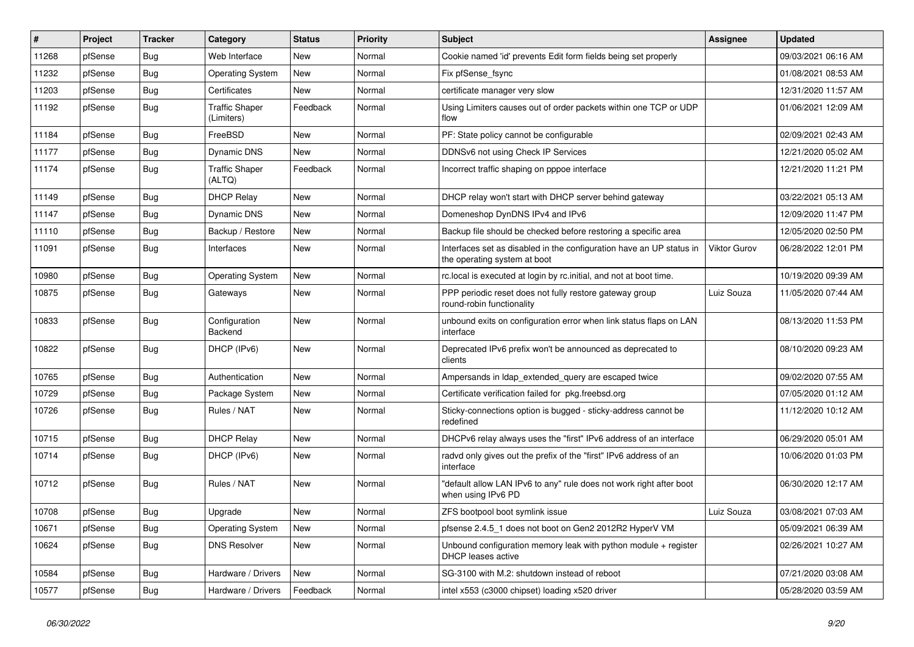| #     | Project | <b>Tracker</b> | Category                            | <b>Status</b> | <b>Priority</b> | Subject                                                                                              | <b>Assignee</b>     | <b>Updated</b>      |
|-------|---------|----------------|-------------------------------------|---------------|-----------------|------------------------------------------------------------------------------------------------------|---------------------|---------------------|
| 11268 | pfSense | Bug            | Web Interface                       | New           | Normal          | Cookie named 'id' prevents Edit form fields being set properly                                       |                     | 09/03/2021 06:16 AM |
| 11232 | pfSense | Bug            | <b>Operating System</b>             | <b>New</b>    | Normal          | Fix pfSense_fsync                                                                                    |                     | 01/08/2021 08:53 AM |
| 11203 | pfSense | Bug            | Certificates                        | New           | Normal          | certificate manager very slow                                                                        |                     | 12/31/2020 11:57 AM |
| 11192 | pfSense | Bug            | <b>Traffic Shaper</b><br>(Limiters) | Feedback      | Normal          | Using Limiters causes out of order packets within one TCP or UDP<br>flow                             |                     | 01/06/2021 12:09 AM |
| 11184 | pfSense | Bug            | FreeBSD                             | <b>New</b>    | Normal          | PF: State policy cannot be configurable                                                              |                     | 02/09/2021 02:43 AM |
| 11177 | pfSense | Bug            | <b>Dynamic DNS</b>                  | New           | Normal          | DDNSv6 not using Check IP Services                                                                   |                     | 12/21/2020 05:02 AM |
| 11174 | pfSense | Bug            | <b>Traffic Shaper</b><br>(ALTQ)     | Feedback      | Normal          | Incorrect traffic shaping on pppoe interface                                                         |                     | 12/21/2020 11:21 PM |
| 11149 | pfSense | Bug            | <b>DHCP Relay</b>                   | New           | Normal          | DHCP relay won't start with DHCP server behind gateway                                               |                     | 03/22/2021 05:13 AM |
| 11147 | pfSense | Bug            | <b>Dynamic DNS</b>                  | New           | Normal          | Domeneshop DynDNS IPv4 and IPv6                                                                      |                     | 12/09/2020 11:47 PM |
| 11110 | pfSense | Bug            | Backup / Restore                    | New           | Normal          | Backup file should be checked before restoring a specific area                                       |                     | 12/05/2020 02:50 PM |
| 11091 | pfSense | Bug            | Interfaces                          | New           | Normal          | Interfaces set as disabled in the configuration have an UP status in<br>the operating system at boot | <b>Viktor Gurov</b> | 06/28/2022 12:01 PM |
| 10980 | pfSense | Bug            | <b>Operating System</b>             | New           | Normal          | rc.local is executed at login by rc.initial, and not at boot time.                                   |                     | 10/19/2020 09:39 AM |
| 10875 | pfSense | Bug            | Gateways                            | New           | Normal          | PPP periodic reset does not fully restore gateway group<br>round-robin functionality                 | Luiz Souza          | 11/05/2020 07:44 AM |
| 10833 | pfSense | Bug            | Configuration<br>Backend            | New           | Normal          | unbound exits on configuration error when link status flaps on LAN<br>interface                      |                     | 08/13/2020 11:53 PM |
| 10822 | pfSense | Bug            | DHCP (IPv6)                         | New           | Normal          | Deprecated IPv6 prefix won't be announced as deprecated to<br>clients                                |                     | 08/10/2020 09:23 AM |
| 10765 | pfSense | Bug            | Authentication                      | New           | Normal          | Ampersands in Idap extended query are escaped twice                                                  |                     | 09/02/2020 07:55 AM |
| 10729 | pfSense | <b>Bug</b>     | Package System                      | New           | Normal          | Certificate verification failed for pkg.freebsd.org                                                  |                     | 07/05/2020 01:12 AM |
| 10726 | pfSense | Bug            | Rules / NAT                         | New           | Normal          | Sticky-connections option is bugged - sticky-address cannot be<br>redefined                          |                     | 11/12/2020 10:12 AM |
| 10715 | pfSense | Bug            | <b>DHCP Relay</b>                   | New           | Normal          | DHCPv6 relay always uses the "first" IPv6 address of an interface                                    |                     | 06/29/2020 05:01 AM |
| 10714 | pfSense | Bug            | DHCP (IPv6)                         | <b>New</b>    | Normal          | radvd only gives out the prefix of the "first" IPv6 address of an<br>interface                       |                     | 10/06/2020 01:03 PM |
| 10712 | pfSense | Bug            | Rules / NAT                         | New           | Normal          | "default allow LAN IPv6 to any" rule does not work right after boot<br>when using IPv6 PD            |                     | 06/30/2020 12:17 AM |
| 10708 | pfSense | Bug            | Upgrade                             | <b>New</b>    | Normal          | ZFS bootpool boot symlink issue                                                                      | Luiz Souza          | 03/08/2021 07:03 AM |
| 10671 | pfSense | <b>Bug</b>     | <b>Operating System</b>             | <b>New</b>    | Normal          | pfsense 2.4.5_1 does not boot on Gen2 2012R2 HyperV VM                                               |                     | 05/09/2021 06:39 AM |
| 10624 | pfSense | <b>Bug</b>     | <b>DNS Resolver</b>                 | New           | Normal          | Unbound configuration memory leak with python module $+$ register<br>DHCP leases active              |                     | 02/26/2021 10:27 AM |
| 10584 | pfSense | <b>Bug</b>     | Hardware / Drivers                  | New           | Normal          | SG-3100 with M.2: shutdown instead of reboot                                                         |                     | 07/21/2020 03:08 AM |
| 10577 | pfSense | <b>Bug</b>     | Hardware / Drivers                  | Feedback      | Normal          | intel x553 (c3000 chipset) loading x520 driver                                                       |                     | 05/28/2020 03:59 AM |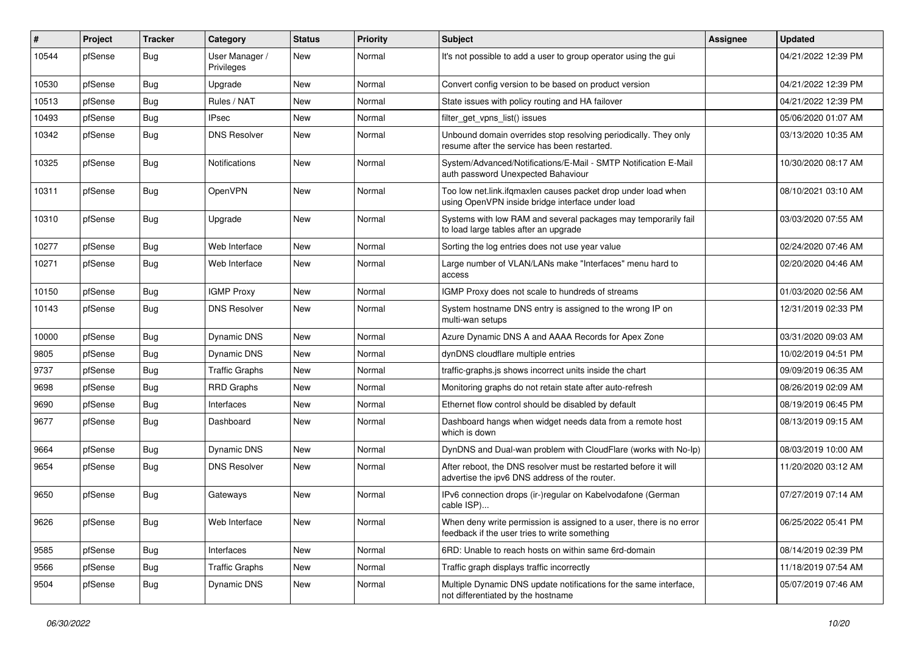| $\#$  | Project | <b>Tracker</b> | Category                     | <b>Status</b> | Priority | Subject                                                                                                              | Assignee | <b>Updated</b>      |
|-------|---------|----------------|------------------------------|---------------|----------|----------------------------------------------------------------------------------------------------------------------|----------|---------------------|
| 10544 | pfSense | <b>Bug</b>     | User Manager /<br>Privileges | <b>New</b>    | Normal   | It's not possible to add a user to group operator using the gui                                                      |          | 04/21/2022 12:39 PM |
| 10530 | pfSense | Bug            | Upgrade                      | New           | Normal   | Convert config version to be based on product version                                                                |          | 04/21/2022 12:39 PM |
| 10513 | pfSense | Bug            | Rules / NAT                  | <b>New</b>    | Normal   | State issues with policy routing and HA failover                                                                     |          | 04/21/2022 12:39 PM |
| 10493 | pfSense | <b>Bug</b>     | <b>IPsec</b>                 | <b>New</b>    | Normal   | filter_get_vpns_list() issues                                                                                        |          | 05/06/2020 01:07 AM |
| 10342 | pfSense | <b>Bug</b>     | <b>DNS Resolver</b>          | <b>New</b>    | Normal   | Unbound domain overrides stop resolving periodically. They only<br>resume after the service has been restarted.      |          | 03/13/2020 10:35 AM |
| 10325 | pfSense | Bug            | <b>Notifications</b>         | <b>New</b>    | Normal   | System/Advanced/Notifications/E-Mail - SMTP Notification E-Mail<br>auth password Unexpected Bahaviour                |          | 10/30/2020 08:17 AM |
| 10311 | pfSense | <b>Bug</b>     | OpenVPN                      | <b>New</b>    | Normal   | Too low net.link.ifqmaxlen causes packet drop under load when<br>using OpenVPN inside bridge interface under load    |          | 08/10/2021 03:10 AM |
| 10310 | pfSense | <b>Bug</b>     | Upgrade                      | <b>New</b>    | Normal   | Systems with low RAM and several packages may temporarily fail<br>to load large tables after an upgrade              |          | 03/03/2020 07:55 AM |
| 10277 | pfSense | Bug            | Web Interface                | <b>New</b>    | Normal   | Sorting the log entries does not use year value                                                                      |          | 02/24/2020 07:46 AM |
| 10271 | pfSense | <b>Bug</b>     | Web Interface                | New           | Normal   | Large number of VLAN/LANs make "Interfaces" menu hard to<br>access                                                   |          | 02/20/2020 04:46 AM |
| 10150 | pfSense | <b>Bug</b>     | <b>IGMP Proxy</b>            | <b>New</b>    | Normal   | IGMP Proxy does not scale to hundreds of streams                                                                     |          | 01/03/2020 02:56 AM |
| 10143 | pfSense | <b>Bug</b>     | <b>DNS Resolver</b>          | New           | Normal   | System hostname DNS entry is assigned to the wrong IP on<br>multi-wan setups                                         |          | 12/31/2019 02:33 PM |
| 10000 | pfSense | <b>Bug</b>     | Dynamic DNS                  | <b>New</b>    | Normal   | Azure Dynamic DNS A and AAAA Records for Apex Zone                                                                   |          | 03/31/2020 09:03 AM |
| 9805  | pfSense | <b>Bug</b>     | Dynamic DNS                  | <b>New</b>    | Normal   | dynDNS cloudflare multiple entries                                                                                   |          | 10/02/2019 04:51 PM |
| 9737  | pfSense | Bug            | <b>Traffic Graphs</b>        | New           | Normal   | traffic-graphs.js shows incorrect units inside the chart                                                             |          | 09/09/2019 06:35 AM |
| 9698  | pfSense | Bug            | <b>RRD Graphs</b>            | <b>New</b>    | Normal   | Monitoring graphs do not retain state after auto-refresh                                                             |          | 08/26/2019 02:09 AM |
| 9690  | pfSense | <b>Bug</b>     | Interfaces                   | New           | Normal   | Ethernet flow control should be disabled by default                                                                  |          | 08/19/2019 06:45 PM |
| 9677  | pfSense | <b>Bug</b>     | Dashboard                    | <b>New</b>    | Normal   | Dashboard hangs when widget needs data from a remote host<br>which is down                                           |          | 08/13/2019 09:15 AM |
| 9664  | pfSense | Bug            | <b>Dynamic DNS</b>           | New           | Normal   | DynDNS and Dual-wan problem with CloudFlare (works with No-Ip)                                                       |          | 08/03/2019 10:00 AM |
| 9654  | pfSense | <b>Bug</b>     | <b>DNS Resolver</b>          | <b>New</b>    | Normal   | After reboot, the DNS resolver must be restarted before it will<br>advertise the ipv6 DNS address of the router.     |          | 11/20/2020 03:12 AM |
| 9650  | pfSense | <b>Bug</b>     | Gateways                     | <b>New</b>    | Normal   | IPv6 connection drops (ir-)regular on Kabelvodafone (German<br>cable ISP)                                            |          | 07/27/2019 07:14 AM |
| 9626  | pfSense | <b>Bug</b>     | Web Interface                | New           | Normal   | When deny write permission is assigned to a user, there is no error<br>feedback if the user tries to write something |          | 06/25/2022 05:41 PM |
| 9585  | pfSense | <b>Bug</b>     | Interfaces                   | New           | Normal   | 6RD: Unable to reach hosts on within same 6rd-domain                                                                 |          | 08/14/2019 02:39 PM |
| 9566  | pfSense | <b>Bug</b>     | <b>Traffic Graphs</b>        | New           | Normal   | Traffic graph displays traffic incorrectly                                                                           |          | 11/18/2019 07:54 AM |
| 9504  | pfSense | Bug            | Dynamic DNS                  | New           | Normal   | Multiple Dynamic DNS update notifications for the same interface,<br>not differentiated by the hostname              |          | 05/07/2019 07:46 AM |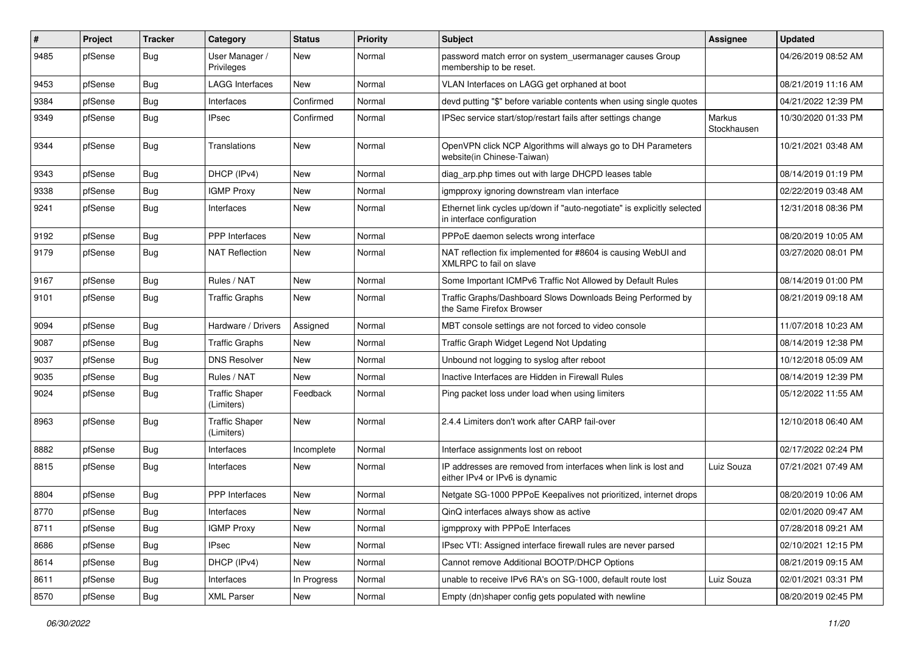| #    | Project | <b>Tracker</b> | Category                            | <b>Status</b> | <b>Priority</b> | Subject                                                                                               | Assignee              | <b>Updated</b>      |
|------|---------|----------------|-------------------------------------|---------------|-----------------|-------------------------------------------------------------------------------------------------------|-----------------------|---------------------|
| 9485 | pfSense | Bug            | User Manager /<br>Privileges        | New           | Normal          | password match error on system usermanager causes Group<br>membership to be reset.                    |                       | 04/26/2019 08:52 AM |
| 9453 | pfSense | Bug            | <b>LAGG Interfaces</b>              | New           | Normal          | VLAN Interfaces on LAGG get orphaned at boot                                                          |                       | 08/21/2019 11:16 AM |
| 9384 | pfSense | Bug            | Interfaces                          | Confirmed     | Normal          | devd putting "\$" before variable contents when using single quotes                                   |                       | 04/21/2022 12:39 PM |
| 9349 | pfSense | Bug            | <b>IPsec</b>                        | Confirmed     | Normal          | IPSec service start/stop/restart fails after settings change                                          | Markus<br>Stockhausen | 10/30/2020 01:33 PM |
| 9344 | pfSense | Bug            | Translations                        | New           | Normal          | OpenVPN click NCP Algorithms will always go to DH Parameters<br>website(in Chinese-Taiwan)            |                       | 10/21/2021 03:48 AM |
| 9343 | pfSense | Bug            | DHCP (IPv4)                         | New           | Normal          | diag arp.php times out with large DHCPD leases table                                                  |                       | 08/14/2019 01:19 PM |
| 9338 | pfSense | Bug            | <b>IGMP Proxy</b>                   | New           | Normal          | igmpproxy ignoring downstream vlan interface                                                          |                       | 02/22/2019 03:48 AM |
| 9241 | pfSense | Bug            | Interfaces                          | New           | Normal          | Ethernet link cycles up/down if "auto-negotiate" is explicitly selected<br>in interface configuration |                       | 12/31/2018 08:36 PM |
| 9192 | pfSense | <b>Bug</b>     | PPP Interfaces                      | <b>New</b>    | Normal          | PPPoE daemon selects wrong interface                                                                  |                       | 08/20/2019 10:05 AM |
| 9179 | pfSense | <b>Bug</b>     | <b>NAT Reflection</b>               | New           | Normal          | NAT reflection fix implemented for #8604 is causing WebUI and<br>XMLRPC to fail on slave              |                       | 03/27/2020 08:01 PM |
| 9167 | pfSense | Bug            | Rules / NAT                         | <b>New</b>    | Normal          | Some Important ICMPv6 Traffic Not Allowed by Default Rules                                            |                       | 08/14/2019 01:00 PM |
| 9101 | pfSense | Bug            | <b>Traffic Graphs</b>               | New           | Normal          | Traffic Graphs/Dashboard Slows Downloads Being Performed by<br>the Same Firefox Browser               |                       | 08/21/2019 09:18 AM |
| 9094 | pfSense | <b>Bug</b>     | Hardware / Drivers                  | Assigned      | Normal          | MBT console settings are not forced to video console                                                  |                       | 11/07/2018 10:23 AM |
| 9087 | pfSense | Bug            | <b>Traffic Graphs</b>               | New           | Normal          | Traffic Graph Widget Legend Not Updating                                                              |                       | 08/14/2019 12:38 PM |
| 9037 | pfSense | <b>Bug</b>     | <b>DNS Resolver</b>                 | <b>New</b>    | Normal          | Unbound not logging to syslog after reboot                                                            |                       | 10/12/2018 05:09 AM |
| 9035 | pfSense | Bug            | Rules / NAT                         | <b>New</b>    | Normal          | Inactive Interfaces are Hidden in Firewall Rules                                                      |                       | 08/14/2019 12:39 PM |
| 9024 | pfSense | <b>Bug</b>     | <b>Traffic Shaper</b><br>(Limiters) | Feedback      | Normal          | Ping packet loss under load when using limiters                                                       |                       | 05/12/2022 11:55 AM |
| 8963 | pfSense | <b>Bug</b>     | <b>Traffic Shaper</b><br>(Limiters) | New           | Normal          | 2.4.4 Limiters don't work after CARP fail-over                                                        |                       | 12/10/2018 06:40 AM |
| 8882 | pfSense | <b>Bug</b>     | Interfaces                          | Incomplete    | Normal          | Interface assignments lost on reboot                                                                  |                       | 02/17/2022 02:24 PM |
| 8815 | pfSense | Bug            | Interfaces                          | New           | Normal          | IP addresses are removed from interfaces when link is lost and<br>either IPv4 or IPv6 is dynamic      | Luiz Souza            | 07/21/2021 07:49 AM |
| 8804 | pfSense | Bug            | <b>PPP</b> Interfaces               | New           | Normal          | Netgate SG-1000 PPPoE Keepalives not prioritized, internet drops                                      |                       | 08/20/2019 10:06 AM |
| 8770 | pfSense | <b>Bug</b>     | Interfaces                          | <b>New</b>    | Normal          | QinQ interfaces always show as active                                                                 |                       | 02/01/2020 09:47 AM |
| 8711 | pfSense | Bug            | <b>IGMP Proxy</b>                   | New           | Normal          | igmpproxy with PPPoE Interfaces                                                                       |                       | 07/28/2018 09:21 AM |
| 8686 | pfSense | Bug            | <b>IPsec</b>                        | New           | Normal          | IPsec VTI: Assigned interface firewall rules are never parsed                                         |                       | 02/10/2021 12:15 PM |
| 8614 | pfSense | <b>Bug</b>     | DHCP (IPv4)                         | New           | Normal          | Cannot remove Additional BOOTP/DHCP Options                                                           |                       | 08/21/2019 09:15 AM |
| 8611 | pfSense | <b>Bug</b>     | Interfaces                          | In Progress   | Normal          | unable to receive IPv6 RA's on SG-1000, default route lost                                            | Luiz Souza            | 02/01/2021 03:31 PM |
| 8570 | pfSense | <b>Bug</b>     | <b>XML Parser</b>                   | New           | Normal          | Empty (dn)shaper config gets populated with newline                                                   |                       | 08/20/2019 02:45 PM |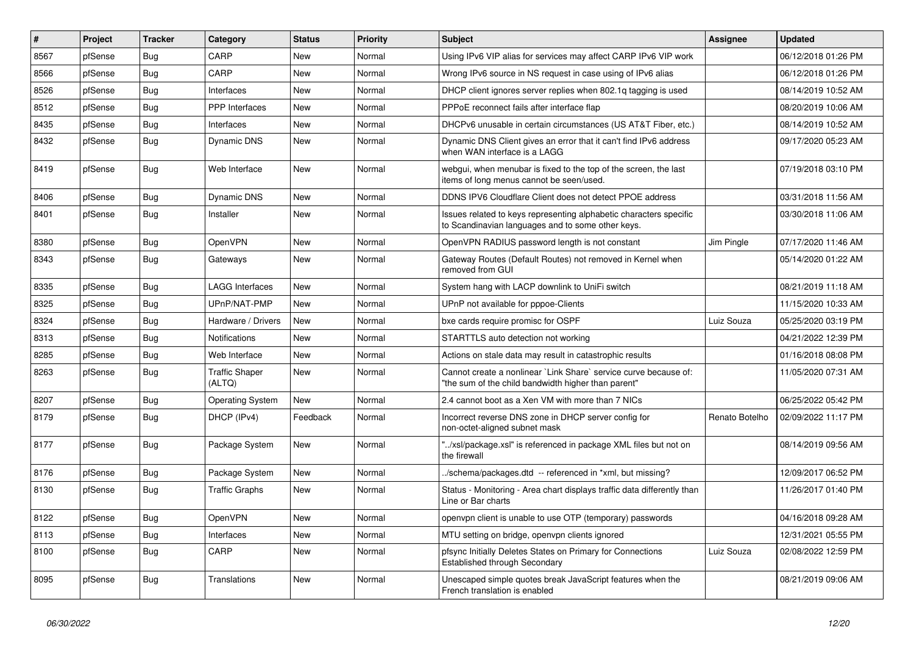| $\vert$ # | Project | <b>Tracker</b> | Category                        | <b>Status</b> | <b>Priority</b> | <b>Subject</b>                                                                                                          | <b>Assignee</b> | <b>Updated</b>      |
|-----------|---------|----------------|---------------------------------|---------------|-----------------|-------------------------------------------------------------------------------------------------------------------------|-----------------|---------------------|
| 8567      | pfSense | Bug            | CARP                            | <b>New</b>    | Normal          | Using IPv6 VIP alias for services may affect CARP IPv6 VIP work                                                         |                 | 06/12/2018 01:26 PM |
| 8566      | pfSense | Bug            | CARP                            | <b>New</b>    | Normal          | Wrong IPv6 source in NS request in case using of IPv6 alias                                                             |                 | 06/12/2018 01:26 PM |
| 8526      | pfSense | Bug            | Interfaces                      | <b>New</b>    | Normal          | DHCP client ignores server replies when 802.1g tagging is used                                                          |                 | 08/14/2019 10:52 AM |
| 8512      | pfSense | Bug            | PPP Interfaces                  | <b>New</b>    | Normal          | PPPoE reconnect fails after interface flap                                                                              |                 | 08/20/2019 10:06 AM |
| 8435      | pfSense | Bug            | Interfaces                      | <b>New</b>    | Normal          | DHCPv6 unusable in certain circumstances (US AT&T Fiber, etc.)                                                          |                 | 08/14/2019 10:52 AM |
| 8432      | pfSense | <b>Bug</b>     | <b>Dynamic DNS</b>              | <b>New</b>    | Normal          | Dynamic DNS Client gives an error that it can't find IPv6 address<br>when WAN interface is a LAGG                       |                 | 09/17/2020 05:23 AM |
| 8419      | pfSense | Bug            | Web Interface                   | New           | Normal          | webgui, when menubar is fixed to the top of the screen, the last<br>items of long menus cannot be seen/used.            |                 | 07/19/2018 03:10 PM |
| 8406      | pfSense | Bug            | Dynamic DNS                     | New           | Normal          | DDNS IPV6 Cloudflare Client does not detect PPOE address                                                                |                 | 03/31/2018 11:56 AM |
| 8401      | pfSense | Bug            | Installer                       | New           | Normal          | Issues related to keys representing alphabetic characters specific<br>to Scandinavian languages and to some other keys. |                 | 03/30/2018 11:06 AM |
| 8380      | pfSense | <b>Bug</b>     | <b>OpenVPN</b>                  | <b>New</b>    | Normal          | OpenVPN RADIUS password length is not constant                                                                          | Jim Pingle      | 07/17/2020 11:46 AM |
| 8343      | pfSense | <b>Bug</b>     | Gateways                        | <b>New</b>    | Normal          | Gateway Routes (Default Routes) not removed in Kernel when<br>removed from GUI                                          |                 | 05/14/2020 01:22 AM |
| 8335      | pfSense | Bug            | LAGG Interfaces                 | New           | Normal          | System hang with LACP downlink to UniFi switch                                                                          |                 | 08/21/2019 11:18 AM |
| 8325      | pfSense | Bug            | UPnP/NAT-PMP                    | New           | Normal          | UPnP not available for pppoe-Clients                                                                                    |                 | 11/15/2020 10:33 AM |
| 8324      | pfSense | <b>Bug</b>     | Hardware / Drivers              | New           | Normal          | bxe cards require promisc for OSPF                                                                                      | Luiz Souza      | 05/25/2020 03:19 PM |
| 8313      | pfSense | <b>Bug</b>     | Notifications                   | New           | Normal          | STARTTLS auto detection not working                                                                                     |                 | 04/21/2022 12:39 PM |
| 8285      | pfSense | <b>Bug</b>     | Web Interface                   | New           | Normal          | Actions on stale data may result in catastrophic results                                                                |                 | 01/16/2018 08:08 PM |
| 8263      | pfSense | <b>Bug</b>     | <b>Traffic Shaper</b><br>(ALTQ) | New           | Normal          | Cannot create a nonlinear `Link Share` service curve because of:<br>"the sum of the child bandwidth higher than parent" |                 | 11/05/2020 07:31 AM |
| 8207      | pfSense | Bug            | <b>Operating System</b>         | New           | Normal          | 2.4 cannot boot as a Xen VM with more than 7 NICs                                                                       |                 | 06/25/2022 05:42 PM |
| 8179      | pfSense | Bug            | DHCP (IPv4)                     | Feedback      | Normal          | Incorrect reverse DNS zone in DHCP server config for<br>non-octet-aligned subnet mask                                   | Renato Botelho  | 02/09/2022 11:17 PM |
| 8177      | pfSense | <b>Bug</b>     | Package System                  | <b>New</b>    | Normal          | "/xsl/package.xsl" is referenced in package XML files but not on<br>the firewall                                        |                 | 08/14/2019 09:56 AM |
| 8176      | pfSense | Bug            | Package System                  | <b>New</b>    | Normal          | ./schema/packages.dtd -- referenced in *xml, but missing?                                                               |                 | 12/09/2017 06:52 PM |
| 8130      | pfSense | <b>Bug</b>     | <b>Traffic Graphs</b>           | New           | Normal          | Status - Monitoring - Area chart displays traffic data differently than<br>Line or Bar charts                           |                 | 11/26/2017 01:40 PM |
| 8122      | pfSense | <b>Bug</b>     | <b>OpenVPN</b>                  | New           | Normal          | openypn client is unable to use OTP (temporary) passwords                                                               |                 | 04/16/2018 09:28 AM |
| 8113      | pfSense | Bug            | Interfaces                      | <b>New</b>    | Normal          | MTU setting on bridge, openypn clients ignored                                                                          |                 | 12/31/2021 05:55 PM |
| 8100      | pfSense | Bug            | CARP                            | New           | Normal          | pfsync Initially Deletes States on Primary for Connections<br>Established through Secondary                             | Luiz Souza      | 02/08/2022 12:59 PM |
| 8095      | pfSense | Bug            | Translations                    | <b>New</b>    | Normal          | Unescaped simple quotes break JavaScript features when the<br>French translation is enabled                             |                 | 08/21/2019 09:06 AM |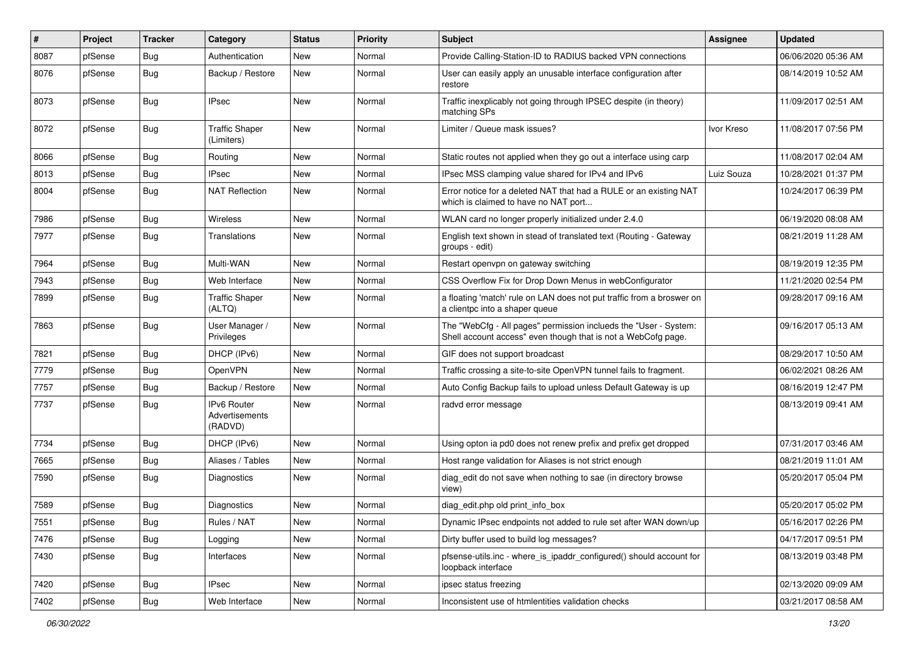| #    | Project | <b>Tracker</b> | Category                                        | <b>Status</b> | <b>Priority</b> | Subject                                                                                                                           | Assignee   | <b>Updated</b>      |
|------|---------|----------------|-------------------------------------------------|---------------|-----------------|-----------------------------------------------------------------------------------------------------------------------------------|------------|---------------------|
| 8087 | pfSense | Bug            | Authentication                                  | New           | Normal          | Provide Calling-Station-ID to RADIUS backed VPN connections                                                                       |            | 06/06/2020 05:36 AM |
| 8076 | pfSense | Bug            | Backup / Restore                                | New           | Normal          | User can easily apply an unusable interface configuration after<br>restore                                                        |            | 08/14/2019 10:52 AM |
| 8073 | pfSense | Bug            | <b>IPsec</b>                                    | New           | Normal          | Traffic inexplicably not going through IPSEC despite (in theory)<br>matching SPs                                                  |            | 11/09/2017 02:51 AM |
| 8072 | pfSense | Bug            | <b>Traffic Shaper</b><br>(Limiters)             | New           | Normal          | Limiter / Queue mask issues?                                                                                                      | Ivor Kreso | 11/08/2017 07:56 PM |
| 8066 | pfSense | Bug            | Routing                                         | New           | Normal          | Static routes not applied when they go out a interface using carp                                                                 |            | 11/08/2017 02:04 AM |
| 8013 | pfSense | Bug            | <b>IPsec</b>                                    | <b>New</b>    | Normal          | IPsec MSS clamping value shared for IPv4 and IPv6                                                                                 | Luiz Souza | 10/28/2021 01:37 PM |
| 8004 | pfSense | Bug            | <b>NAT Reflection</b>                           | New           | Normal          | Error notice for a deleted NAT that had a RULE or an existing NAT<br>which is claimed to have no NAT port                         |            | 10/24/2017 06:39 PM |
| 7986 | pfSense | Bug            | Wireless                                        | New           | Normal          | WLAN card no longer properly initialized under 2.4.0                                                                              |            | 06/19/2020 08:08 AM |
| 7977 | pfSense | Bug            | Translations                                    | New           | Normal          | English text shown in stead of translated text (Routing - Gateway<br>groups - edit)                                               |            | 08/21/2019 11:28 AM |
| 7964 | pfSense | Bug            | Multi-WAN                                       | <b>New</b>    | Normal          | Restart openvpn on gateway switching                                                                                              |            | 08/19/2019 12:35 PM |
| 7943 | pfSense | Bug            | Web Interface                                   | New           | Normal          | CSS Overflow Fix for Drop Down Menus in webConfigurator                                                                           |            | 11/21/2020 02:54 PM |
| 7899 | pfSense | Bug            | <b>Traffic Shaper</b><br>(ALTQ)                 | <b>New</b>    | Normal          | a floating 'match' rule on LAN does not put traffic from a broswer on<br>a clientpc into a shaper queue                           |            | 09/28/2017 09:16 AM |
| 7863 | pfSense | Bug            | User Manager /<br>Privileges                    | <b>New</b>    | Normal          | The "WebCfg - All pages" permission inclueds the "User - System:<br>Shell account access" even though that is not a WebCofg page. |            | 09/16/2017 05:13 AM |
| 7821 | pfSense | Bug            | DHCP (IPv6)                                     | New           | Normal          | GIF does not support broadcast                                                                                                    |            | 08/29/2017 10:50 AM |
| 7779 | pfSense | Bug            | OpenVPN                                         | New           | Normal          | Traffic crossing a site-to-site OpenVPN tunnel fails to fragment.                                                                 |            | 06/02/2021 08:26 AM |
| 7757 | pfSense | <b>Bug</b>     | Backup / Restore                                | <b>New</b>    | Normal          | Auto Config Backup fails to upload unless Default Gateway is up                                                                   |            | 08/16/2019 12:47 PM |
| 7737 | pfSense | Bug            | <b>IPv6 Router</b><br>Advertisements<br>(RADVD) | New           | Normal          | radvd error message                                                                                                               |            | 08/13/2019 09:41 AM |
| 7734 | pfSense | Bug            | DHCP (IPv6)                                     | New           | Normal          | Using opton ia pd0 does not renew prefix and prefix get dropped                                                                   |            | 07/31/2017 03:46 AM |
| 7665 | pfSense | Bug            | Aliases / Tables                                | New           | Normal          | Host range validation for Aliases is not strict enough                                                                            |            | 08/21/2019 11:01 AM |
| 7590 | pfSense | Bug            | <b>Diagnostics</b>                              | New           | Normal          | diag edit do not save when nothing to sae (in directory browse<br>view)                                                           |            | 05/20/2017 05:04 PM |
| 7589 | pfSense | Bug            | <b>Diagnostics</b>                              | New           | Normal          | diag edit.php old print info box                                                                                                  |            | 05/20/2017 05:02 PM |
| 7551 | pfSense | Bug            | Rules / NAT                                     | New           | Normal          | Dynamic IPsec endpoints not added to rule set after WAN down/up                                                                   |            | 05/16/2017 02:26 PM |
| 7476 | pfSense | Bug            | Logging                                         | New           | Normal          | Dirty buffer used to build log messages?                                                                                          |            | 04/17/2017 09:51 PM |
| 7430 | pfSense | <b>Bug</b>     | Interfaces                                      | New           | Normal          | pfsense-utils.inc - where_is_ipaddr_configured() should account for<br>loopback interface                                         |            | 08/13/2019 03:48 PM |
| 7420 | pfSense | Bug            | <b>IPsec</b>                                    | New           | Normal          | ipsec status freezing                                                                                                             |            | 02/13/2020 09:09 AM |
| 7402 | pfSense | <b>Bug</b>     | Web Interface                                   | New           | Normal          | Inconsistent use of htmlentities validation checks                                                                                |            | 03/21/2017 08:58 AM |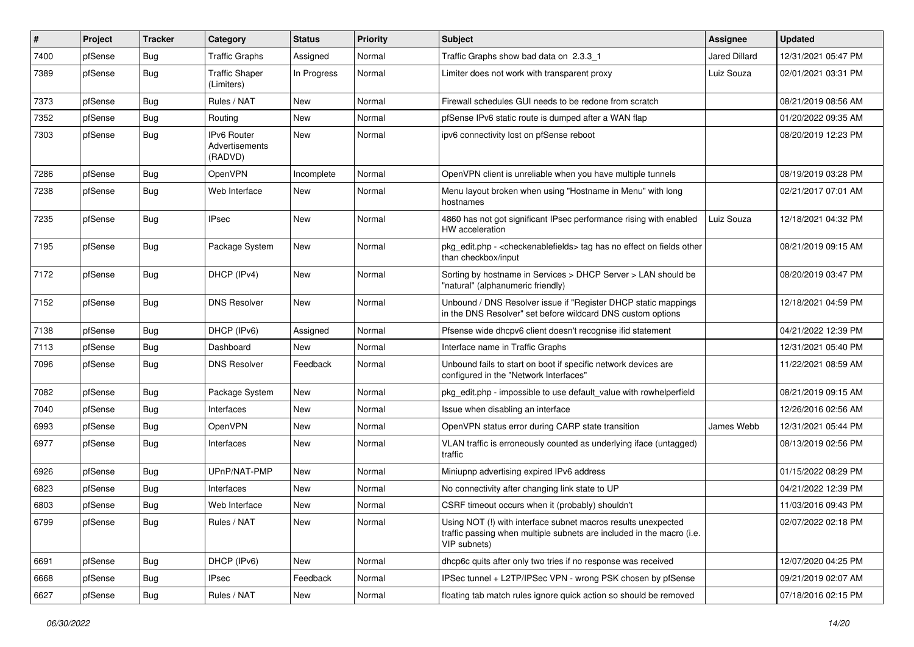| $\vert$ # | Project | <b>Tracker</b> | Category                                        | <b>Status</b> | <b>Priority</b> | Subject                                                                                                                                                | <b>Assignee</b> | <b>Updated</b>      |
|-----------|---------|----------------|-------------------------------------------------|---------------|-----------------|--------------------------------------------------------------------------------------------------------------------------------------------------------|-----------------|---------------------|
| 7400      | pfSense | Bug            | Traffic Graphs                                  | Assigned      | Normal          | Traffic Graphs show bad data on 2.3.3 1                                                                                                                | Jared Dillard   | 12/31/2021 05:47 PM |
| 7389      | pfSense | Bug            | <b>Traffic Shaper</b><br>(Limiters)             | In Progress   | Normal          | Limiter does not work with transparent proxy                                                                                                           | Luiz Souza      | 02/01/2021 03:31 PM |
| 7373      | pfSense | Bug            | Rules / NAT                                     | New           | Normal          | Firewall schedules GUI needs to be redone from scratch                                                                                                 |                 | 08/21/2019 08:56 AM |
| 7352      | pfSense | Bug            | Routing                                         | New           | Normal          | pfSense IPv6 static route is dumped after a WAN flap                                                                                                   |                 | 01/20/2022 09:35 AM |
| 7303      | pfSense | Bug            | <b>IPv6 Router</b><br>Advertisements<br>(RADVD) | <b>New</b>    | Normal          | ipv6 connectivity lost on pfSense reboot                                                                                                               |                 | 08/20/2019 12:23 PM |
| 7286      | pfSense | Bug            | <b>OpenVPN</b>                                  | Incomplete    | Normal          | OpenVPN client is unreliable when you have multiple tunnels                                                                                            |                 | 08/19/2019 03:28 PM |
| 7238      | pfSense | Bug            | Web Interface                                   | New           | Normal          | Menu layout broken when using "Hostname in Menu" with long<br>hostnames                                                                                |                 | 02/21/2017 07:01 AM |
| 7235      | pfSense | Bug            | <b>IPsec</b>                                    | New           | Normal          | 4860 has not got significant IPsec performance rising with enabled<br>HW acceleration                                                                  | Luiz Souza      | 12/18/2021 04:32 PM |
| 7195      | pfSense | Bug            | Package System                                  | New           | Normal          | pkg_edit.php - <checkenablefields> tag has no effect on fields other<br/>than checkbox/input</checkenablefields>                                       |                 | 08/21/2019 09:15 AM |
| 7172      | pfSense | Bug            | DHCP (IPv4)                                     | New           | Normal          | Sorting by hostname in Services > DHCP Server > LAN should be<br>"natural" (alphanumeric friendly)                                                     |                 | 08/20/2019 03:47 PM |
| 7152      | pfSense | Bug            | <b>DNS Resolver</b>                             | New           | Normal          | Unbound / DNS Resolver issue if "Register DHCP static mappings<br>in the DNS Resolver" set before wildcard DNS custom options                          |                 | 12/18/2021 04:59 PM |
| 7138      | pfSense | Bug            | DHCP (IPv6)                                     | Assigned      | Normal          | Pfsense wide dhcpv6 client doesn't recognise ifid statement                                                                                            |                 | 04/21/2022 12:39 PM |
| 7113      | pfSense | Bug            | Dashboard                                       | New           | Normal          | Interface name in Traffic Graphs                                                                                                                       |                 | 12/31/2021 05:40 PM |
| 7096      | pfSense | Bug            | <b>DNS Resolver</b>                             | Feedback      | Normal          | Unbound fails to start on boot if specific network devices are<br>configured in the "Network Interfaces"                                               |                 | 11/22/2021 08:59 AM |
| 7082      | pfSense | Bug            | Package System                                  | <b>New</b>    | Normal          | pkg_edit.php - impossible to use default_value with rowhelperfield                                                                                     |                 | 08/21/2019 09:15 AM |
| 7040      | pfSense | Bug            | Interfaces                                      | New           | Normal          | Issue when disabling an interface                                                                                                                      |                 | 12/26/2016 02:56 AM |
| 6993      | pfSense | Bug            | OpenVPN                                         | New           | Normal          | OpenVPN status error during CARP state transition                                                                                                      | James Webb      | 12/31/2021 05:44 PM |
| 6977      | pfSense | Bug            | Interfaces                                      | New           | Normal          | VLAN traffic is erroneously counted as underlying iface (untagged)<br>traffic                                                                          |                 | 08/13/2019 02:56 PM |
| 6926      | pfSense | Bug            | UPnP/NAT-PMP                                    | New           | Normal          | Miniupnp advertising expired IPv6 address                                                                                                              |                 | 01/15/2022 08:29 PM |
| 6823      | pfSense | Bug            | Interfaces                                      | New           | Normal          | No connectivity after changing link state to UP                                                                                                        |                 | 04/21/2022 12:39 PM |
| 6803      | pfSense | Bug            | Web Interface                                   | New           | Normal          | CSRF timeout occurs when it (probably) shouldn't                                                                                                       |                 | 11/03/2016 09:43 PM |
| 6799      | pfSense | <b>Bug</b>     | Rules / NAT                                     | New           | Normal          | Using NOT (!) with interface subnet macros results unexpected<br>traffic passing when multiple subnets are included in the macro (i.e.<br>VIP subnets) |                 | 02/07/2022 02:18 PM |
| 6691      | pfSense | Bug            | DHCP (IPv6)                                     | New           | Normal          | dhcp6c quits after only two tries if no response was received                                                                                          |                 | 12/07/2020 04:25 PM |
| 6668      | pfSense | <b>Bug</b>     | <b>IPsec</b>                                    | Feedback      | Normal          | IPSec tunnel + L2TP/IPSec VPN - wrong PSK chosen by pfSense                                                                                            |                 | 09/21/2019 02:07 AM |
| 6627      | pfSense | Bug            | Rules / NAT                                     | New           | Normal          | floating tab match rules ignore quick action so should be removed                                                                                      |                 | 07/18/2016 02:15 PM |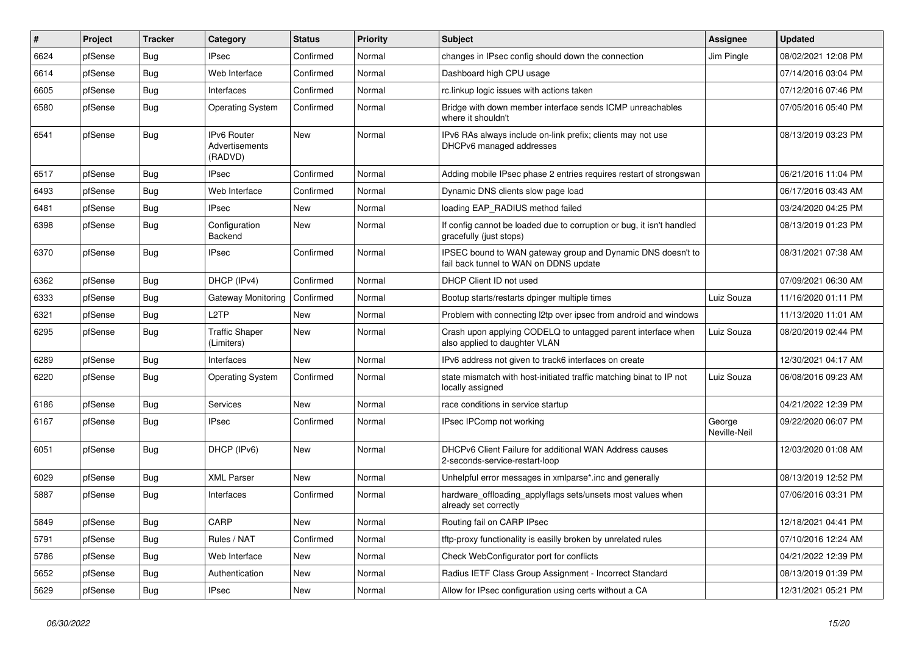| $\vert$ # | Project | <b>Tracker</b> | Category                                        | <b>Status</b> | <b>Priority</b> | Subject                                                                                               | <b>Assignee</b>        | <b>Updated</b>      |
|-----------|---------|----------------|-------------------------------------------------|---------------|-----------------|-------------------------------------------------------------------------------------------------------|------------------------|---------------------|
| 6624      | pfSense | Bug            | <b>IPsec</b>                                    | Confirmed     | Normal          | changes in IPsec config should down the connection                                                    | Jim Pingle             | 08/02/2021 12:08 PM |
| 6614      | pfSense | Bug            | Web Interface                                   | Confirmed     | Normal          | Dashboard high CPU usage                                                                              |                        | 07/14/2016 03:04 PM |
| 6605      | pfSense | Bug            | Interfaces                                      | Confirmed     | Normal          | rc.linkup logic issues with actions taken                                                             |                        | 07/12/2016 07:46 PM |
| 6580      | pfSense | <b>Bug</b>     | <b>Operating System</b>                         | Confirmed     | Normal          | Bridge with down member interface sends ICMP unreachables<br>where it shouldn't                       |                        | 07/05/2016 05:40 PM |
| 6541      | pfSense | Bug            | <b>IPv6 Router</b><br>Advertisements<br>(RADVD) | <b>New</b>    | Normal          | IPv6 RAs always include on-link prefix; clients may not use<br>DHCPv6 managed addresses               |                        | 08/13/2019 03:23 PM |
| 6517      | pfSense | Bug            | <b>IPsec</b>                                    | Confirmed     | Normal          | Adding mobile IPsec phase 2 entries requires restart of strongswan                                    |                        | 06/21/2016 11:04 PM |
| 6493      | pfSense | <b>Bug</b>     | Web Interface                                   | Confirmed     | Normal          | Dynamic DNS clients slow page load                                                                    |                        | 06/17/2016 03:43 AM |
| 6481      | pfSense | Bug            | <b>IPsec</b>                                    | New           | Normal          | loading EAP_RADIUS method failed                                                                      |                        | 03/24/2020 04:25 PM |
| 6398      | pfSense | Bug            | Configuration<br>Backend                        | New           | Normal          | If config cannot be loaded due to corruption or bug, it isn't handled<br>gracefully (just stops)      |                        | 08/13/2019 01:23 PM |
| 6370      | pfSense | <b>Bug</b>     | <b>IPsec</b>                                    | Confirmed     | Normal          | IPSEC bound to WAN gateway group and Dynamic DNS doesn't to<br>fail back tunnel to WAN on DDNS update |                        | 08/31/2021 07:38 AM |
| 6362      | pfSense | Bug            | DHCP (IPv4)                                     | Confirmed     | Normal          | DHCP Client ID not used                                                                               |                        | 07/09/2021 06:30 AM |
| 6333      | pfSense | Bug            | Gateway Monitoring                              | Confirmed     | Normal          | Bootup starts/restarts dpinger multiple times                                                         | Luiz Souza             | 11/16/2020 01:11 PM |
| 6321      | pfSense | Bug            | L <sub>2</sub> TP                               | New           | Normal          | Problem with connecting I2tp over ipsec from android and windows                                      |                        | 11/13/2020 11:01 AM |
| 6295      | pfSense | Bug            | <b>Traffic Shaper</b><br>(Limiters)             | New           | Normal          | Crash upon applying CODELQ to untagged parent interface when<br>also applied to daughter VLAN         | Luiz Souza             | 08/20/2019 02:44 PM |
| 6289      | pfSense | Bug            | Interfaces                                      | <b>New</b>    | Normal          | IPv6 address not given to track6 interfaces on create                                                 |                        | 12/30/2021 04:17 AM |
| 6220      | pfSense | Bug            | <b>Operating System</b>                         | Confirmed     | Normal          | state mismatch with host-initiated traffic matching binat to IP not<br>locally assigned               | Luiz Souza             | 06/08/2016 09:23 AM |
| 6186      | pfSense | Bug            | Services                                        | New           | Normal          | race conditions in service startup                                                                    |                        | 04/21/2022 12:39 PM |
| 6167      | pfSense | Bug            | <b>IPsec</b>                                    | Confirmed     | Normal          | IPsec IPComp not working                                                                              | George<br>Neville-Neil | 09/22/2020 06:07 PM |
| 6051      | pfSense | Bug            | DHCP (IPv6)                                     | New           | Normal          | DHCPv6 Client Failure for additional WAN Address causes<br>2-seconds-service-restart-loop             |                        | 12/03/2020 01:08 AM |
| 6029      | pfSense | <b>Bug</b>     | <b>XML Parser</b>                               | New           | Normal          | Unhelpful error messages in xmlparse*.inc and generally                                               |                        | 08/13/2019 12:52 PM |
| 5887      | pfSense | Bug            | Interfaces                                      | Confirmed     | Normal          | hardware_offloading_applyflags sets/unsets most values when<br>already set correctly                  |                        | 07/06/2016 03:31 PM |
| 5849      | pfSense | <b>Bug</b>     | CARP                                            | New           | Normal          | Routing fail on CARP IPsec                                                                            |                        | 12/18/2021 04:41 PM |
| 5791      | pfSense | <b>Bug</b>     | Rules / NAT                                     | Confirmed     | Normal          | tftp-proxy functionality is easilly broken by unrelated rules                                         |                        | 07/10/2016 12:24 AM |
| 5786      | pfSense | <b>Bug</b>     | Web Interface                                   | New           | Normal          | Check WebConfigurator port for conflicts                                                              |                        | 04/21/2022 12:39 PM |
| 5652      | pfSense | <b>Bug</b>     | Authentication                                  | New           | Normal          | Radius IETF Class Group Assignment - Incorrect Standard                                               |                        | 08/13/2019 01:39 PM |
| 5629      | pfSense | Bug            | <b>IPsec</b>                                    | New           | Normal          | Allow for IPsec configuration using certs without a CA                                                |                        | 12/31/2021 05:21 PM |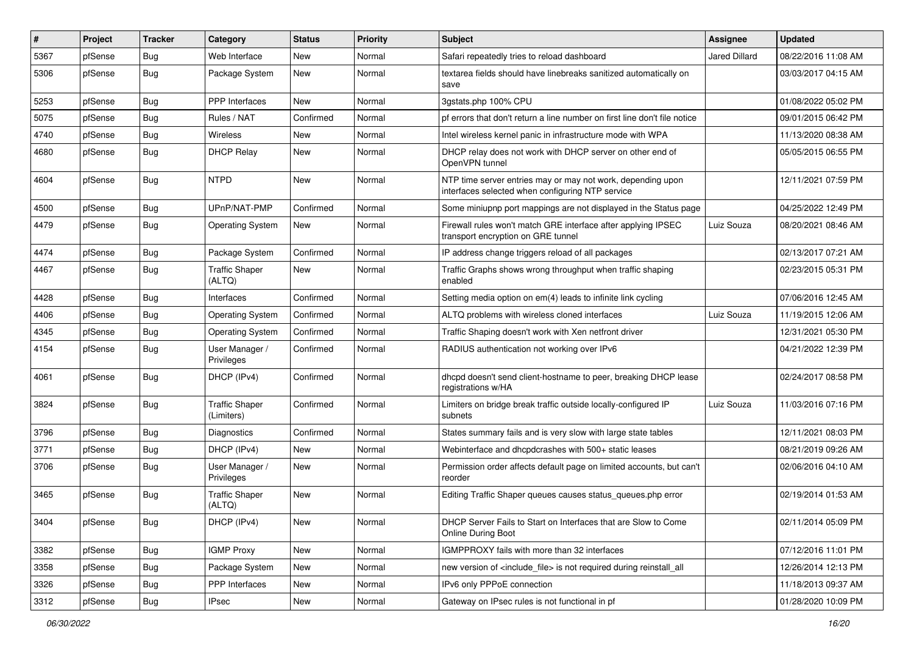| $\vert$ # | Project | <b>Tracker</b> | Category                            | <b>Status</b> | <b>Priority</b> | Subject                                                                                                         | <b>Assignee</b> | <b>Updated</b>      |
|-----------|---------|----------------|-------------------------------------|---------------|-----------------|-----------------------------------------------------------------------------------------------------------------|-----------------|---------------------|
| 5367      | pfSense | Bug            | Web Interface                       | New           | Normal          | Safari repeatedly tries to reload dashboard                                                                     | Jared Dillard   | 08/22/2016 11:08 AM |
| 5306      | pfSense | Bug            | Package System                      | New           | Normal          | textarea fields should have linebreaks sanitized automatically on<br>save                                       |                 | 03/03/2017 04:15 AM |
| 5253      | pfSense | Bug            | <b>PPP</b> Interfaces               | <b>New</b>    | Normal          | 3gstats.php 100% CPU                                                                                            |                 | 01/08/2022 05:02 PM |
| 5075      | pfSense | Bug            | Rules / NAT                         | Confirmed     | Normal          | pf errors that don't return a line number on first line don't file notice                                       |                 | 09/01/2015 06:42 PM |
| 4740      | pfSense | Bug            | Wireless                            | New           | Normal          | Intel wireless kernel panic in infrastructure mode with WPA                                                     |                 | 11/13/2020 08:38 AM |
| 4680      | pfSense | Bug            | <b>DHCP Relay</b>                   | New           | Normal          | DHCP relay does not work with DHCP server on other end of<br>OpenVPN tunnel                                     |                 | 05/05/2015 06:55 PM |
| 4604      | pfSense | Bug            | <b>NTPD</b>                         | New           | Normal          | NTP time server entries may or may not work, depending upon<br>interfaces selected when configuring NTP service |                 | 12/11/2021 07:59 PM |
| 4500      | pfSense | Bug            | UPnP/NAT-PMP                        | Confirmed     | Normal          | Some miniupnp port mappings are not displayed in the Status page                                                |                 | 04/25/2022 12:49 PM |
| 4479      | pfSense | Bug            | <b>Operating System</b>             | New           | Normal          | Firewall rules won't match GRE interface after applying IPSEC<br>transport encryption on GRE tunnel             | Luiz Souza      | 08/20/2021 08:46 AM |
| 4474      | pfSense | Bug            | Package System                      | Confirmed     | Normal          | IP address change triggers reload of all packages                                                               |                 | 02/13/2017 07:21 AM |
| 4467      | pfSense | Bug            | <b>Traffic Shaper</b><br>(ALTQ)     | New           | Normal          | Traffic Graphs shows wrong throughput when traffic shaping<br>enabled                                           |                 | 02/23/2015 05:31 PM |
| 4428      | pfSense | Bug            | Interfaces                          | Confirmed     | Normal          | Setting media option on em(4) leads to infinite link cycling                                                    |                 | 07/06/2016 12:45 AM |
| 4406      | pfSense | <b>Bug</b>     | <b>Operating System</b>             | Confirmed     | Normal          | ALTQ problems with wireless cloned interfaces                                                                   | Luiz Souza      | 11/19/2015 12:06 AM |
| 4345      | pfSense | Bug            | <b>Operating System</b>             | Confirmed     | Normal          | Traffic Shaping doesn't work with Xen netfront driver                                                           |                 | 12/31/2021 05:30 PM |
| 4154      | pfSense | Bug            | User Manager /<br>Privileges        | Confirmed     | Normal          | RADIUS authentication not working over IPv6                                                                     |                 | 04/21/2022 12:39 PM |
| 4061      | pfSense | Bug            | DHCP (IPv4)                         | Confirmed     | Normal          | dhcpd doesn't send client-hostname to peer, breaking DHCP lease<br>registrations w/HA                           |                 | 02/24/2017 08:58 PM |
| 3824      | pfSense | Bug            | <b>Traffic Shaper</b><br>(Limiters) | Confirmed     | Normal          | Limiters on bridge break traffic outside locally-configured IP<br>subnets                                       | Luiz Souza      | 11/03/2016 07:16 PM |
| 3796      | pfSense | <b>Bug</b>     | Diagnostics                         | Confirmed     | Normal          | States summary fails and is very slow with large state tables                                                   |                 | 12/11/2021 08:03 PM |
| 3771      | pfSense | Bug            | DHCP (IPv4)                         | <b>New</b>    | Normal          | Webinterface and dhcpdcrashes with 500+ static leases                                                           |                 | 08/21/2019 09:26 AM |
| 3706      | pfSense | Bug            | User Manager /<br>Privileges        | New           | Normal          | Permission order affects default page on limited accounts, but can't<br>reorder                                 |                 | 02/06/2016 04:10 AM |
| 3465      | pfSense | Bug            | <b>Traffic Shaper</b><br>(ALTQ)     | New           | Normal          | Editing Traffic Shaper queues causes status_queues.php error                                                    |                 | 02/19/2014 01:53 AM |
| 3404      | pfSense | Bug            | DHCP (IPv4)                         | New           | Normal          | DHCP Server Fails to Start on Interfaces that are Slow to Come<br><b>Online During Boot</b>                     |                 | 02/11/2014 05:09 PM |
| 3382      | pfSense | Bug            | <b>IGMP Proxy</b>                   | New           | Normal          | IGMPPROXY fails with more than 32 interfaces                                                                    |                 | 07/12/2016 11:01 PM |
| 3358      | pfSense | Bug            | Package System                      | New           | Normal          | new version of <include_file> is not required during reinstall_all</include_file>                               |                 | 12/26/2014 12:13 PM |
| 3326      | pfSense | <b>Bug</b>     | <b>PPP</b> Interfaces               | New           | Normal          | IPv6 only PPPoE connection                                                                                      |                 | 11/18/2013 09:37 AM |
| 3312      | pfSense | <b>Bug</b>     | <b>IPsec</b>                        | New           | Normal          | Gateway on IPsec rules is not functional in pf                                                                  |                 | 01/28/2020 10:09 PM |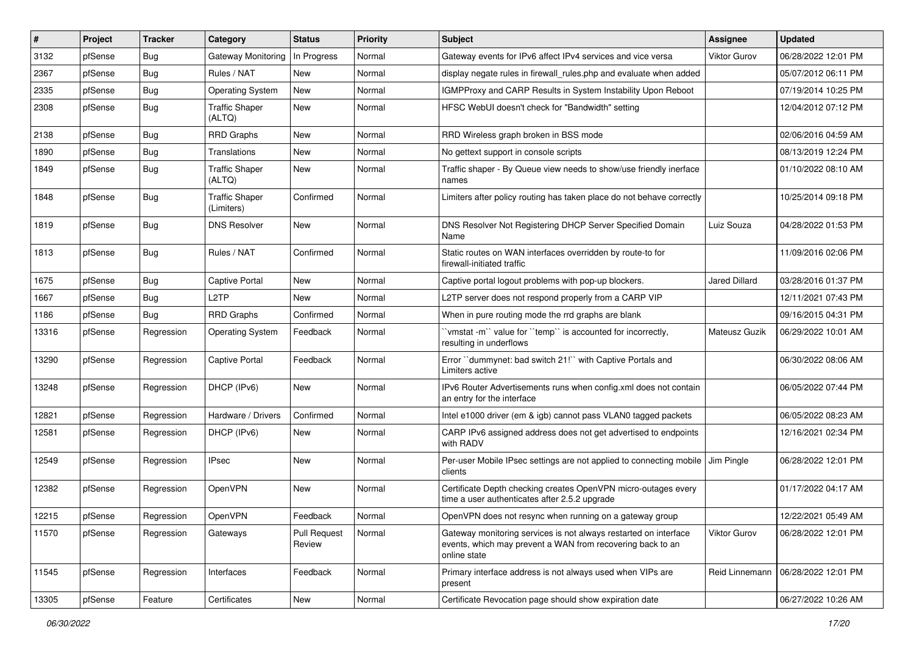| ∦     | Project | <b>Tracker</b> | Category                            | <b>Status</b>                 | <b>Priority</b> | Subject                                                                                                                                        | <b>Assignee</b> | <b>Updated</b>      |
|-------|---------|----------------|-------------------------------------|-------------------------------|-----------------|------------------------------------------------------------------------------------------------------------------------------------------------|-----------------|---------------------|
| 3132  | pfSense | Bug            | <b>Gateway Monitoring</b>           | In Progress                   | Normal          | Gateway events for IPv6 affect IPv4 services and vice versa                                                                                    | Viktor Gurov    | 06/28/2022 12:01 PM |
| 2367  | pfSense | Bug            | Rules / NAT                         | New                           | Normal          | display negate rules in firewall rules php and evaluate when added                                                                             |                 | 05/07/2012 06:11 PM |
| 2335  | pfSense | Bug            | <b>Operating System</b>             | New                           | Normal          | IGMPProxy and CARP Results in System Instability Upon Reboot                                                                                   |                 | 07/19/2014 10:25 PM |
| 2308  | pfSense | Bug            | <b>Traffic Shaper</b><br>(ALTQ)     | New                           | Normal          | HFSC WebUI doesn't check for "Bandwidth" setting                                                                                               |                 | 12/04/2012 07:12 PM |
| 2138  | pfSense | <b>Bug</b>     | <b>RRD Graphs</b>                   | New                           | Normal          | RRD Wireless graph broken in BSS mode                                                                                                          |                 | 02/06/2016 04:59 AM |
| 1890  | pfSense | Bug            | Translations                        | New                           | Normal          | No gettext support in console scripts                                                                                                          |                 | 08/13/2019 12:24 PM |
| 1849  | pfSense | Bug            | <b>Traffic Shaper</b><br>(ALTQ)     | New                           | Normal          | Traffic shaper - By Queue view needs to show/use friendly inerface<br>names                                                                    |                 | 01/10/2022 08:10 AM |
| 1848  | pfSense | Bug            | <b>Traffic Shaper</b><br>(Limiters) | Confirmed                     | Normal          | Limiters after policy routing has taken place do not behave correctly                                                                          |                 | 10/25/2014 09:18 PM |
| 1819  | pfSense | Bug            | <b>DNS Resolver</b>                 | New                           | Normal          | DNS Resolver Not Registering DHCP Server Specified Domain<br>Name                                                                              | Luiz Souza      | 04/28/2022 01:53 PM |
| 1813  | pfSense | <b>Bug</b>     | Rules / NAT                         | Confirmed                     | Normal          | Static routes on WAN interfaces overridden by route-to for<br>firewall-initiated traffic                                                       |                 | 11/09/2016 02:06 PM |
| 1675  | pfSense | Bug            | <b>Captive Portal</b>               | New                           | Normal          | Captive portal logout problems with pop-up blockers.                                                                                           | Jared Dillard   | 03/28/2016 01:37 PM |
| 1667  | pfSense | Bug            | L2TP                                | New                           | Normal          | L2TP server does not respond properly from a CARP VIP                                                                                          |                 | 12/11/2021 07:43 PM |
| 1186  | pfSense | Bug            | <b>RRD Graphs</b>                   | Confirmed                     | Normal          | When in pure routing mode the rrd graphs are blank                                                                                             |                 | 09/16/2015 04:31 PM |
| 13316 | pfSense | Regression     | Operating System                    | Feedback                      | Normal          | 'vmstat -m'' value for "temp" is accounted for incorrectly,<br>resulting in underflows                                                         | Mateusz Guzik   | 06/29/2022 10:01 AM |
| 13290 | pfSense | Regression     | <b>Captive Portal</b>               | Feedback                      | Normal          | Error "dummynet: bad switch 21!" with Captive Portals and<br>Limiters active                                                                   |                 | 06/30/2022 08:06 AM |
| 13248 | pfSense | Regression     | DHCP (IPv6)                         | New                           | Normal          | IPv6 Router Advertisements runs when config.xml does not contain<br>an entry for the interface                                                 |                 | 06/05/2022 07:44 PM |
| 12821 | pfSense | Regression     | Hardware / Drivers                  | Confirmed                     | Normal          | Intel e1000 driver (em & igb) cannot pass VLAN0 tagged packets                                                                                 |                 | 06/05/2022 08:23 AM |
| 12581 | pfSense | Regression     | DHCP (IPv6)                         | New                           | Normal          | CARP IPv6 assigned address does not get advertised to endpoints<br>with RADV                                                                   |                 | 12/16/2021 02:34 PM |
| 12549 | pfSense | Regression     | <b>IPsec</b>                        | New                           | Normal          | Per-user Mobile IPsec settings are not applied to connecting mobile   Jim Pingle<br>clients                                                    |                 | 06/28/2022 12:01 PM |
| 12382 | pfSense | Regression     | OpenVPN                             | New                           | Normal          | Certificate Depth checking creates OpenVPN micro-outages every<br>time a user authenticates after 2.5.2 upgrade                                |                 | 01/17/2022 04:17 AM |
| 12215 | pfSense | Regression     | OpenVPN                             | Feedback                      | Normal          | OpenVPN does not resync when running on a gateway group                                                                                        |                 | 12/22/2021 05:49 AM |
| 11570 | pfSense | Regression     | Gateways                            | <b>Pull Request</b><br>Review | Normal          | Gateway monitoring services is not always restarted on interface<br>events, which may prevent a WAN from recovering back to an<br>online state | Viktor Gurov    | 06/28/2022 12:01 PM |
| 11545 | pfSense | Regression     | Interfaces                          | Feedback                      | Normal          | Primary interface address is not always used when VIPs are<br>present                                                                          | Reid Linnemann  | 06/28/2022 12:01 PM |
| 13305 | pfSense | Feature        | Certificates                        | New                           | Normal          | Certificate Revocation page should show expiration date                                                                                        |                 | 06/27/2022 10:26 AM |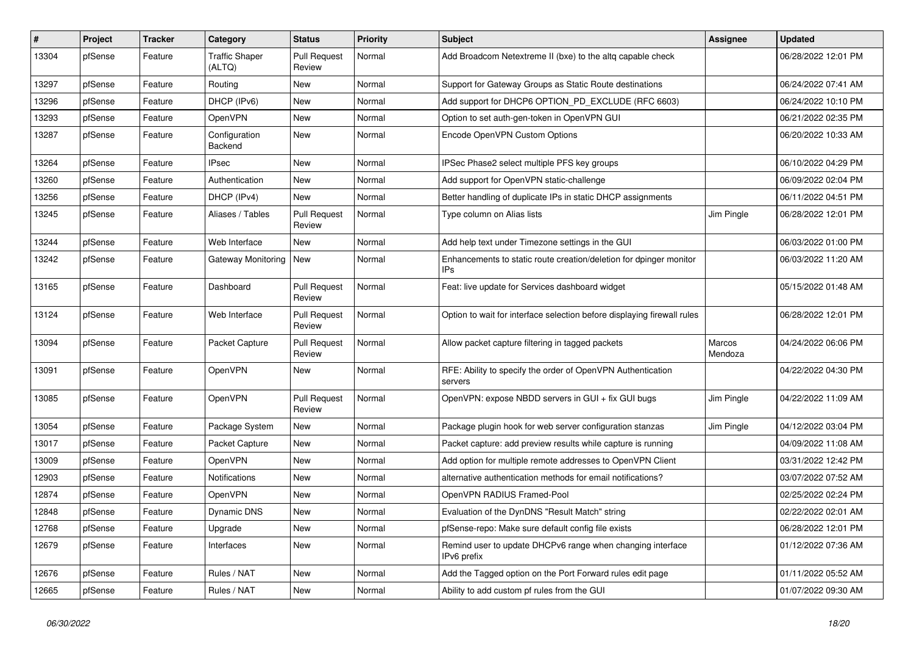| #     | Project | <b>Tracker</b> | Category                        | <b>Status</b>                 | <b>Priority</b> | <b>Subject</b>                                                            | Assignee          | <b>Updated</b>      |
|-------|---------|----------------|---------------------------------|-------------------------------|-----------------|---------------------------------------------------------------------------|-------------------|---------------------|
| 13304 | pfSense | Feature        | <b>Traffic Shaper</b><br>(ALTQ) | <b>Pull Request</b><br>Review | Normal          | Add Broadcom Netextreme II (bxe) to the altg capable check                |                   | 06/28/2022 12:01 PM |
| 13297 | pfSense | Feature        | Routing                         | New                           | Normal          | Support for Gateway Groups as Static Route destinations                   |                   | 06/24/2022 07:41 AM |
| 13296 | pfSense | Feature        | DHCP (IPv6)                     | New                           | Normal          | Add support for DHCP6 OPTION PD EXCLUDE (RFC 6603)                        |                   | 06/24/2022 10:10 PM |
| 13293 | pfSense | Feature        | OpenVPN                         | <b>New</b>                    | Normal          | Option to set auth-gen-token in OpenVPN GUI                               |                   | 06/21/2022 02:35 PM |
| 13287 | pfSense | Feature        | Configuration<br>Backend        | New                           | Normal          | Encode OpenVPN Custom Options                                             |                   | 06/20/2022 10:33 AM |
| 13264 | pfSense | Feature        | <b>IPsec</b>                    | <b>New</b>                    | Normal          | IPSec Phase2 select multiple PFS key groups                               |                   | 06/10/2022 04:29 PM |
| 13260 | pfSense | Feature        | Authentication                  | New                           | Normal          | Add support for OpenVPN static-challenge                                  |                   | 06/09/2022 02:04 PM |
| 13256 | pfSense | Feature        | DHCP (IPv4)                     | <b>New</b>                    | Normal          | Better handling of duplicate IPs in static DHCP assignments               |                   | 06/11/2022 04:51 PM |
| 13245 | pfSense | Feature        | Aliases / Tables                | <b>Pull Request</b><br>Review | Normal          | Type column on Alias lists                                                | Jim Pingle        | 06/28/2022 12:01 PM |
| 13244 | pfSense | Feature        | Web Interface                   | New                           | Normal          | Add help text under Timezone settings in the GUI                          |                   | 06/03/2022 01:00 PM |
| 13242 | pfSense | Feature        | Gateway Monitoring   New        |                               | Normal          | Enhancements to static route creation/deletion for dpinger monitor<br>IPs |                   | 06/03/2022 11:20 AM |
| 13165 | pfSense | Feature        | Dashboard                       | <b>Pull Request</b><br>Review | Normal          | Feat: live update for Services dashboard widget                           |                   | 05/15/2022 01:48 AM |
| 13124 | pfSense | Feature        | Web Interface                   | <b>Pull Request</b><br>Review | Normal          | Option to wait for interface selection before displaying firewall rules   |                   | 06/28/2022 12:01 PM |
| 13094 | pfSense | Feature        | Packet Capture                  | <b>Pull Request</b><br>Review | Normal          | Allow packet capture filtering in tagged packets                          | Marcos<br>Mendoza | 04/24/2022 06:06 PM |
| 13091 | pfSense | Feature        | <b>OpenVPN</b>                  | New                           | Normal          | RFE: Ability to specify the order of OpenVPN Authentication<br>servers    |                   | 04/22/2022 04:30 PM |
| 13085 | pfSense | Feature        | OpenVPN                         | <b>Pull Request</b><br>Review | Normal          | OpenVPN: expose NBDD servers in GUI + fix GUI bugs                        | Jim Pingle        | 04/22/2022 11:09 AM |
| 13054 | pfSense | Feature        | Package System                  | New                           | Normal          | Package plugin hook for web server configuration stanzas                  | Jim Pingle        | 04/12/2022 03:04 PM |
| 13017 | pfSense | Feature        | Packet Capture                  | <b>New</b>                    | Normal          | Packet capture: add preview results while capture is running              |                   | 04/09/2022 11:08 AM |
| 13009 | pfSense | Feature        | OpenVPN                         | New                           | Normal          | Add option for multiple remote addresses to OpenVPN Client                |                   | 03/31/2022 12:42 PM |
| 12903 | pfSense | Feature        | <b>Notifications</b>            | New                           | Normal          | alternative authentication methods for email notifications?               |                   | 03/07/2022 07:52 AM |
| 12874 | pfSense | Feature        | OpenVPN                         | New                           | Normal          | OpenVPN RADIUS Framed-Pool                                                |                   | 02/25/2022 02:24 PM |
| 12848 | pfSense | Feature        | Dynamic DNS                     | New                           | Normal          | Evaluation of the DynDNS "Result Match" string                            |                   | 02/22/2022 02:01 AM |
| 12768 | pfSense | Feature        | Upgrade                         | New                           | Normal          | pfSense-repo: Make sure default config file exists                        |                   | 06/28/2022 12:01 PM |
| 12679 | pfSense | Feature        | Interfaces                      | New                           | Normal          | Remind user to update DHCPv6 range when changing interface<br>IPv6 prefix |                   | 01/12/2022 07:36 AM |
| 12676 | pfSense | Feature        | Rules / NAT                     | New                           | Normal          | Add the Tagged option on the Port Forward rules edit page                 |                   | 01/11/2022 05:52 AM |
| 12665 | pfSense | Feature        | Rules / NAT                     | New                           | Normal          | Ability to add custom pf rules from the GUI                               |                   | 01/07/2022 09:30 AM |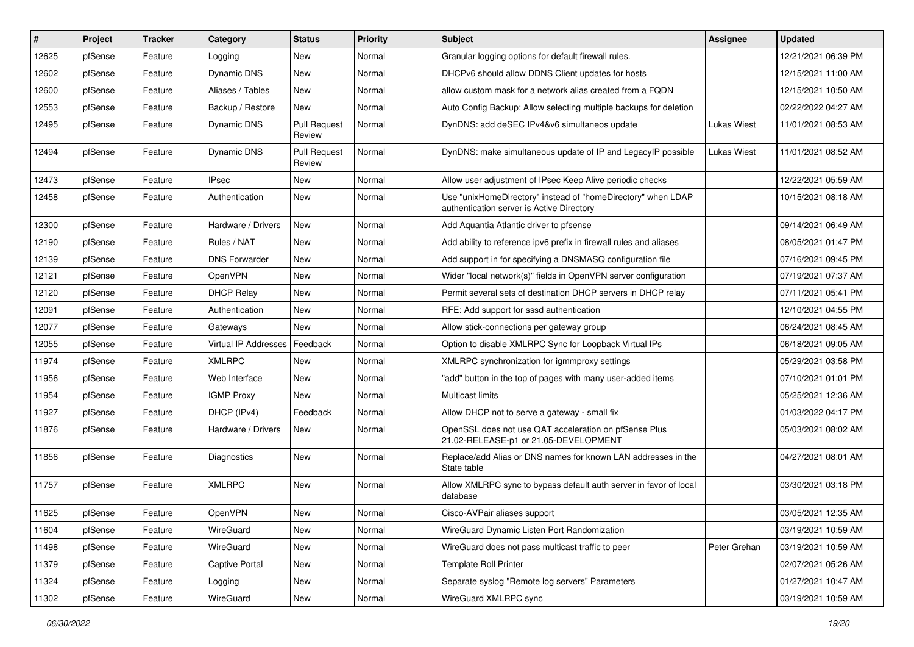| #     | Project | <b>Tracker</b> | Category             | <b>Status</b>                 | <b>Priority</b> | Subject                                                                                                   | <b>Assignee</b>    | <b>Updated</b>      |
|-------|---------|----------------|----------------------|-------------------------------|-----------------|-----------------------------------------------------------------------------------------------------------|--------------------|---------------------|
| 12625 | pfSense | Feature        | Logging              | New                           | Normal          | Granular logging options for default firewall rules.                                                      |                    | 12/21/2021 06:39 PM |
| 12602 | pfSense | Feature        | Dynamic DNS          | New                           | Normal          | DHCPv6 should allow DDNS Client updates for hosts                                                         |                    | 12/15/2021 11:00 AM |
| 12600 | pfSense | Feature        | Aliases / Tables     | New                           | Normal          | allow custom mask for a network alias created from a FQDN                                                 |                    | 12/15/2021 10:50 AM |
| 12553 | pfSense | Feature        | Backup / Restore     | New                           | Normal          | Auto Config Backup: Allow selecting multiple backups for deletion                                         |                    | 02/22/2022 04:27 AM |
| 12495 | pfSense | Feature        | <b>Dynamic DNS</b>   | <b>Pull Request</b><br>Review | Normal          | DynDNS: add deSEC IPv4&v6 simultaneos update                                                              | <b>Lukas Wiest</b> | 11/01/2021 08:53 AM |
| 12494 | pfSense | Feature        | Dynamic DNS          | <b>Pull Request</b><br>Review | Normal          | DynDNS: make simultaneous update of IP and LegacyIP possible                                              | <b>Lukas Wiest</b> | 11/01/2021 08:52 AM |
| 12473 | pfSense | Feature        | <b>IPsec</b>         | New                           | Normal          | Allow user adjustment of IPsec Keep Alive periodic checks                                                 |                    | 12/22/2021 05:59 AM |
| 12458 | pfSense | Feature        | Authentication       | New                           | Normal          | Use "unixHomeDirectory" instead of "homeDirectory" when LDAP<br>authentication server is Active Directory |                    | 10/15/2021 08:18 AM |
| 12300 | pfSense | Feature        | Hardware / Drivers   | <b>New</b>                    | Normal          | Add Aquantia Atlantic driver to pfsense                                                                   |                    | 09/14/2021 06:49 AM |
| 12190 | pfSense | Feature        | Rules / NAT          | <b>New</b>                    | Normal          | Add ability to reference ipv6 prefix in firewall rules and aliases                                        |                    | 08/05/2021 01:47 PM |
| 12139 | pfSense | Feature        | <b>DNS Forwarder</b> | New                           | Normal          | Add support in for specifying a DNSMASQ configuration file                                                |                    | 07/16/2021 09:45 PM |
| 12121 | pfSense | Feature        | OpenVPN              | New                           | Normal          | Wider "local network(s)" fields in OpenVPN server configuration                                           |                    | 07/19/2021 07:37 AM |
| 12120 | pfSense | Feature        | <b>DHCP Relay</b>    | <b>New</b>                    | Normal          | Permit several sets of destination DHCP servers in DHCP relav                                             |                    | 07/11/2021 05:41 PM |
| 12091 | pfSense | Feature        | Authentication       | New                           | Normal          | RFE: Add support for sssd authentication                                                                  |                    | 12/10/2021 04:55 PM |
| 12077 | pfSense | Feature        | Gateways             | <b>New</b>                    | Normal          | Allow stick-connections per gateway group                                                                 |                    | 06/24/2021 08:45 AM |
| 12055 | pfSense | Feature        | Virtual IP Addresses | Feedback                      | Normal          | Option to disable XMLRPC Sync for Loopback Virtual IPs                                                    |                    | 06/18/2021 09:05 AM |
| 11974 | pfSense | Feature        | <b>XMLRPC</b>        | <b>New</b>                    | Normal          | XMLRPC synchronization for igmmproxy settings                                                             |                    | 05/29/2021 03:58 PM |
| 11956 | pfSense | Feature        | Web Interface        | <b>New</b>                    | Normal          | "add" button in the top of pages with many user-added items                                               |                    | 07/10/2021 01:01 PM |
| 11954 | pfSense | Feature        | <b>IGMP Proxy</b>    | New                           | Normal          | Multicast limits                                                                                          |                    | 05/25/2021 12:36 AM |
| 11927 | pfSense | Feature        | DHCP (IPv4)          | Feedback                      | Normal          | Allow DHCP not to serve a gateway - small fix                                                             |                    | 01/03/2022 04:17 PM |
| 11876 | pfSense | Feature        | Hardware / Drivers   | New                           | Normal          | OpenSSL does not use QAT acceleration on pfSense Plus<br>21.02-RELEASE-p1 or 21.05-DEVELOPMENT            |                    | 05/03/2021 08:02 AM |
| 11856 | pfSense | Feature        | Diagnostics          | <b>New</b>                    | Normal          | Replace/add Alias or DNS names for known LAN addresses in the<br>State table                              |                    | 04/27/2021 08:01 AM |
| 11757 | pfSense | Feature        | <b>XMLRPC</b>        | New                           | Normal          | Allow XMLRPC sync to bypass default auth server in favor of local<br>database                             |                    | 03/30/2021 03:18 PM |
| 11625 | pfSense | Feature        | OpenVPN              | I New                         | Normal          | Cisco-AVPair aliases support                                                                              |                    | 03/05/2021 12:35 AM |
| 11604 | pfSense | Feature        | WireGuard            | New                           | Normal          | WireGuard Dynamic Listen Port Randomization                                                               |                    | 03/19/2021 10:59 AM |
| 11498 | pfSense | Feature        | WireGuard            | New                           | Normal          | WireGuard does not pass multicast traffic to peer                                                         | Peter Grehan       | 03/19/2021 10:59 AM |
| 11379 | pfSense | Feature        | Captive Portal       | New                           | Normal          | <b>Template Roll Printer</b>                                                                              |                    | 02/07/2021 05:26 AM |
| 11324 | pfSense | Feature        | Logging              | New                           | Normal          | Separate syslog "Remote log servers" Parameters                                                           |                    | 01/27/2021 10:47 AM |
| 11302 | pfSense | Feature        | WireGuard            | New                           | Normal          | WireGuard XMLRPC sync                                                                                     |                    | 03/19/2021 10:59 AM |